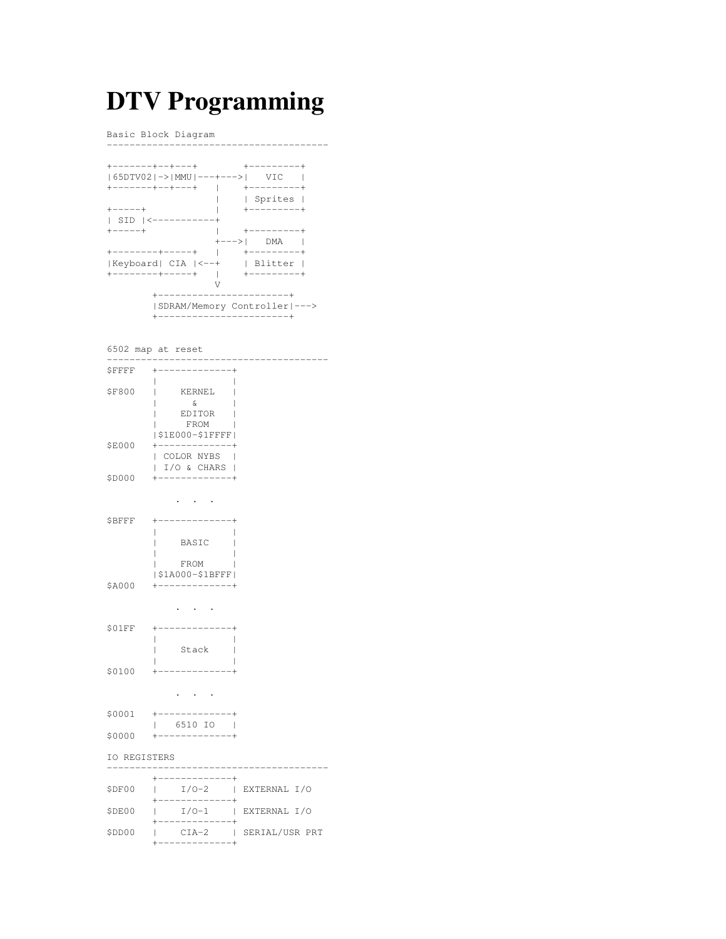# **DTV Programming**

Basic Block Diagram

---------------------------------------

| . - - - - - - - + - - + - - - + |            | ----------+           |  |
|---------------------------------|------------|-----------------------|--|
| 65DTV02 -> MMU ---+--->         |            | -VTC                  |  |
| --------+--+---+                |            | $+ - - - - - - - - +$ |  |
|                                 |            | Sprites               |  |
| $+ - - - - +$                   |            | $+ - - - - - - - +$   |  |
| $SID \mid$ <-----------+        |            |                       |  |
| +-----+                         |            | +---------+           |  |
|                                 | +--->  DMA |                       |  |
| ---------+-----+                |            | +---------+           |  |
| Keyboard  CIA  <--+             |            | l Blitter I           |  |
| . - - - - - - - - + - - - - - + |            | -+---------+          |  |
|                                 |            |                       |  |
| ----------------------          |            |                       |  |
| SDRAM/Memory Controller --->    |            |                       |  |
|                                 |            |                       |  |

6502 map at reset

| <b>\$FFFF</b> | $+ - - - - - - - - - -$                                         |              |
|---------------|-----------------------------------------------------------------|--------------|
| \$F800        | KERNEL<br>ı<br>$\delta$<br>EDITOR  <br>FROM<br> \$1E000-\$1FFFF |              |
| \$E000        | +-----------<br>  COLOR NYBS  <br> I/O & CHARS                  |              |
| \$D000        | +------------+                                                  |              |
|               |                                                                 |              |
| \$BFFF        | BASIC                                                           |              |
| \$A000        | FROM<br>  \$1A000-\$1BFFF  <br>+------------+                   |              |
|               |                                                                 |              |
| S01FF         | $+ - - - - - - - - - - +$                                       |              |
| \$0100        | Stack<br>L                                                      |              |
|               |                                                                 |              |
|               | 6510 IO  <br>$\mathbf{L}$                                       |              |
| \$0000        | +-------------+                                                 |              |
| IO REGISTERS  |                                                                 |              |
| \$DF00        | $1 / 0 - 2$   EXTERNAL $I/O$<br>+------------+                  |              |
| \$DE00        | $I/O-1$<br>$\mathbb{R}^n$                                       | EXTERNAL I/O |

+-------------+ \$DD00 | CIA-2 | SERIAL/USR PRT +-------------+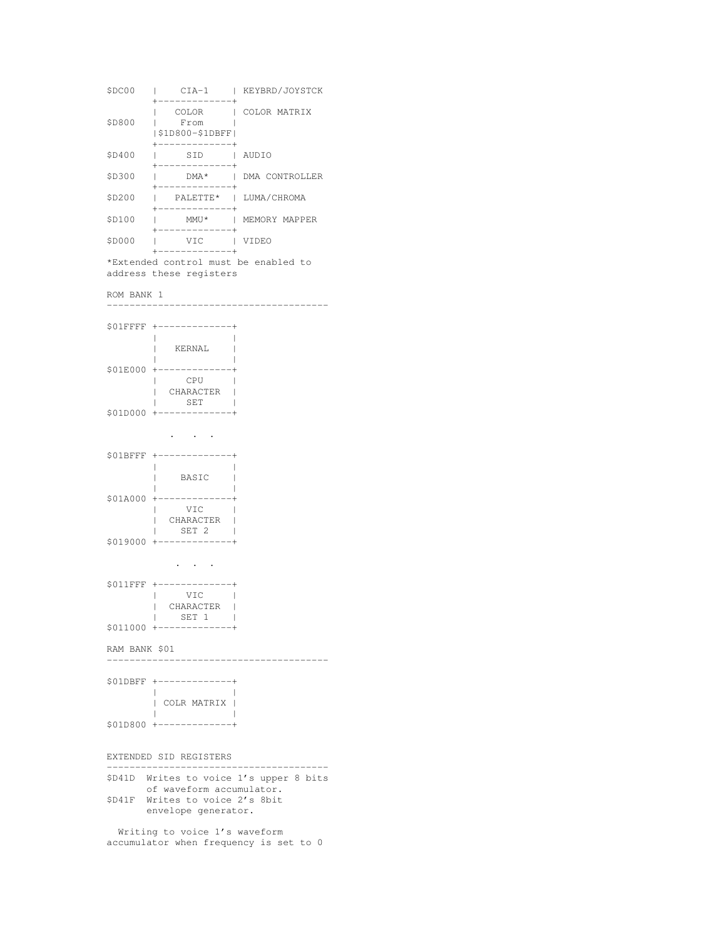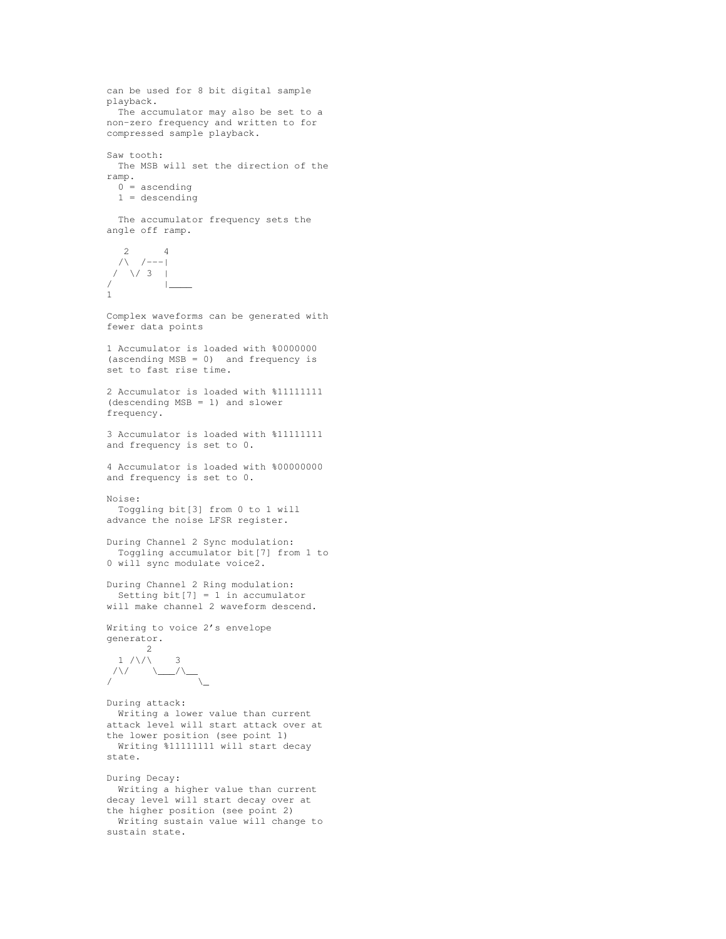```
can be used for 8 bit digital sample
playback.
 The accumulator may also be set to a
non-zero frequency and written to for
compressed sample playback.
Saw tooth:
 The MSB will set the direction of the
ramp.
 0 = ascending
 1 = descending
 The accumulator frequency sets the
angle off ramp.
   2 4
  /\ /---|
 / \/ 3 |/ |____
1
Complex waveforms can be generated with
fewer data points
1 Accumulator is loaded with %0000000
(ascending MSB = 0) and frequency is
set to fast rise time.
2 Accumulator is loaded with %11111111
(descending MSB = 1) and slower
frequency.
3 Accumulator is loaded with %11111111
and frequency is set to 0.
4 Accumulator is loaded with %00000000
and frequency is set to 0.
Noise:
 Toggling bit[3] from 0 to 1 will
advance the noise LFSR register.
During Channel 2 Sync modulation:
 Toggling accumulator bit[7] from 1 to
0 will sync modulate voice2.
During Channel 2 Ring modulation:
 Setting bit[7] = 1 in accumulator
will make channel 2 waveform descend.
Writing to voice 2's envelope
generator.
     2
  1 / \sqrt{ } 3
/\/
/ \_\_\_\_\_\_\_\_\During attack:
 Writing a lower value than current
attack level will start attack over at
the lower position (see point 1)
 Writing %11111111 will start decay
state.
During Decay:
 Writing a higher value than current
decay level will start decay over at
```
the higher position (see point 2) Writing sustain value will change to sustain state.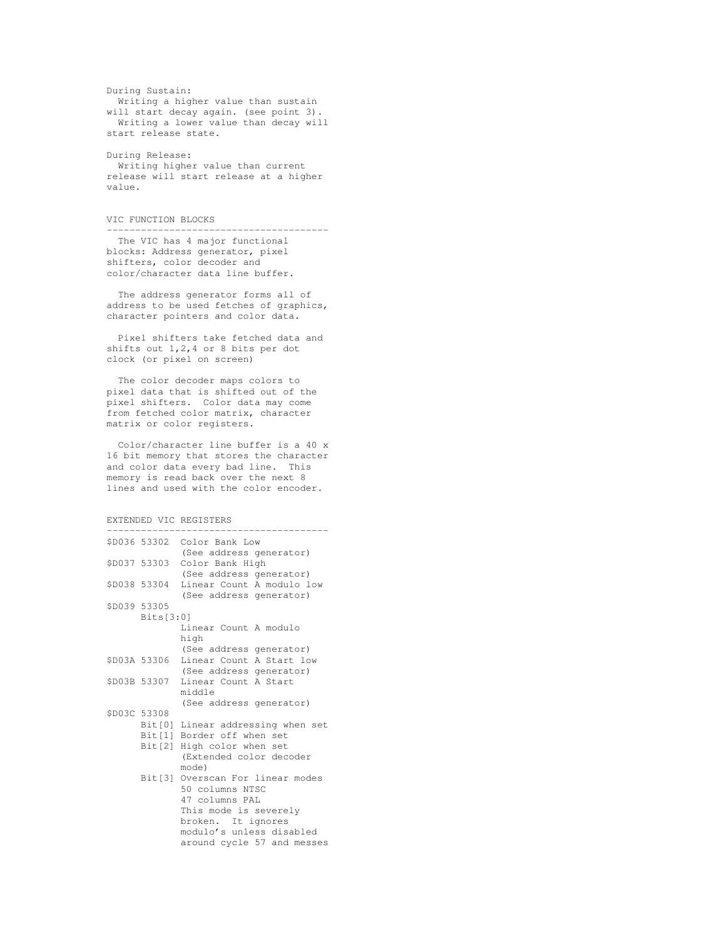```
During Sustain:
 Writing a higher value than sustain
will start decay again. (see point 3).
 Writing a lower value than decay will
start release state.
```
During Release: Writing higher value than current release will start release at a higher value.

## VIC FUNCTION BLOCKS

---------------------------------------

The VIC has 4 major functional blocks: Address generator, pixel shifters, color decoder and color/character data line buffer.

The address generator forms all of address to be used fetches of graphics, character pointers and color data.

Pixel shifters take fetched data and shifts out 1,2,4 or 8 bits per dot clock (or pixel on screen)

The color decoder maps colors to pixel data that is shifted out of the pixel shifters. Color data may come from fetched color matrix, character matrix or color registers.

Color/character line buffer is a 40 x 16 bit memory that stores the character and color data every bad line. This memory is read back over the next 8 lines and used with the color encoder.

```
EXTENDED VIC REGISTERS
```

|              | \$D036 53302 Color Bank Low<br>(See address generator)           |
|--------------|------------------------------------------------------------------|
| \$D037 53303 | Color Bank High                                                  |
|              | (See address generator)                                          |
| \$D038 53304 | Linear Count A modulo low                                        |
|              | (See address generator)                                          |
| \$D039 53305 |                                                                  |
| Bits[3:0]    |                                                                  |
|              | Linear Count A modulo                                            |
|              | high                                                             |
|              | (See address generator)                                          |
|              | \$D03A 53306 Linear Count A Start low                            |
|              | (See address generator)                                          |
|              | \$D03B 53307 Linear Count A Start                                |
|              | middle                                                           |
| \$D03C 53308 | (See address generator)                                          |
|              |                                                                  |
|              | Bit [0] Linear addressing when set<br>Bit[1] Border off when set |
|              | Bit[2] High color when set                                       |
|              | (Extended color decoder                                          |
|              | mode)                                                            |
|              | Bit[3] Overscan For linear modes                                 |
|              | 50 columns NTSC                                                  |
|              | 47 columns PAL                                                   |
|              | This mode is severely                                            |
|              | broken. It ignores                                               |
|              | modulo's unless disabled                                         |
|              | around cycle 57 and messes                                       |
|              |                                                                  |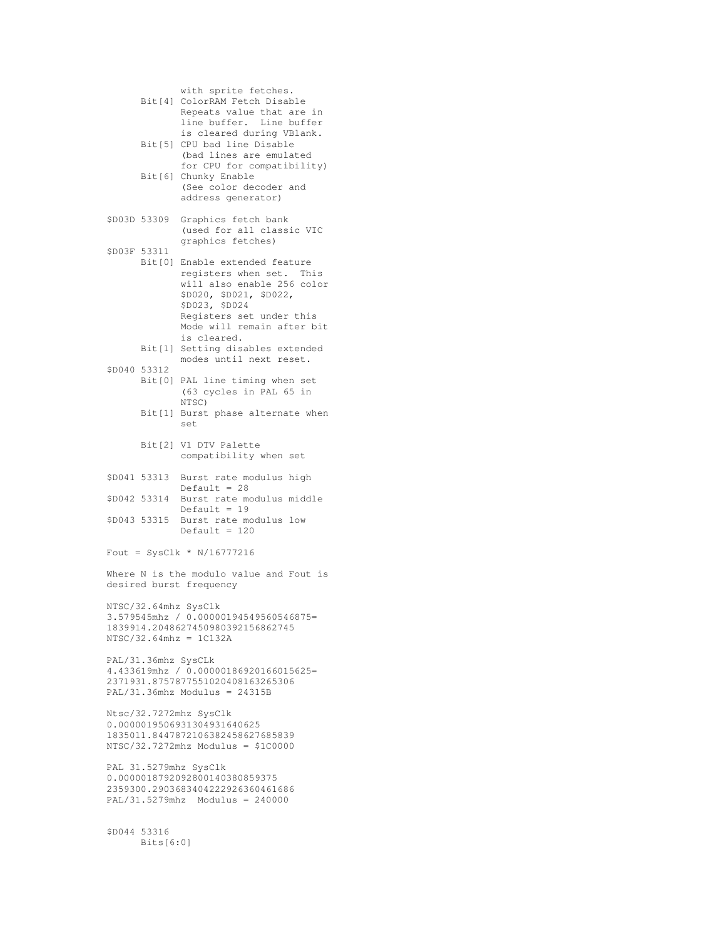with sprite fetches. Bit[4] ColorRAM Fetch Disable Repeats value that are in line buffer. Line buffer is cleared during VBlank. Bit[5] CPU bad line Disable (bad lines are emulated for CPU for compatibility) Bit[6] Chunky Enable (See color decoder and address generator) \$D03D 53309 Graphics fetch bank (used for all classic VIC graphics fetches) \$D03F 53311 Bit[0] Enable extended feature registers when set. This will also enable 256 color \$D020, \$D021, \$D022, \$D023, \$D024 Registers set under this Mode will remain after bit is cleared. Bit[1] Setting disables extended modes until next reset. \$D040 53312 Bit[0] PAL line timing when set (63 cycles in PAL 65 in NTSC) Bit[1] Burst phase alternate when set Bit[2] V1 DTV Palette compatibility when set \$D041 53313 Burst rate modulus high Default  $= 28$ \$D042 53314 Burst rate modulus middle Default = 19 \$D043 53315 Burst rate modulus low  $Default = 120$ Fout = SysClk \* N/16777216 Where N is the modulo value and Fout is desired burst frequency NTSC/32.64mhz SysClk 3.579545mhz / 0.00000194549560546875= 1839914.2048627450980392156862745 NTSC/32.64mhz = 1C132A PAL/31.36mhz SysCLk 4.433619mhz / 0.00000186920166015625= 2371931.8757877551020408163265306 PAL/31.36mhz Modulus = 24315B Ntsc/32.7272mhz SysClk 0.0000019506931304931640625 1835011.8447872106382458627685839 NTSC/32.7272mhz Modulus = \$1C0000 PAL 31.5279mhz SysClk 0.0000018792092800140380859375 2359300.2903683404222926360461686 PAL/31.5279mhz Modulus = 240000 \$D044 53316 Bits[6:0]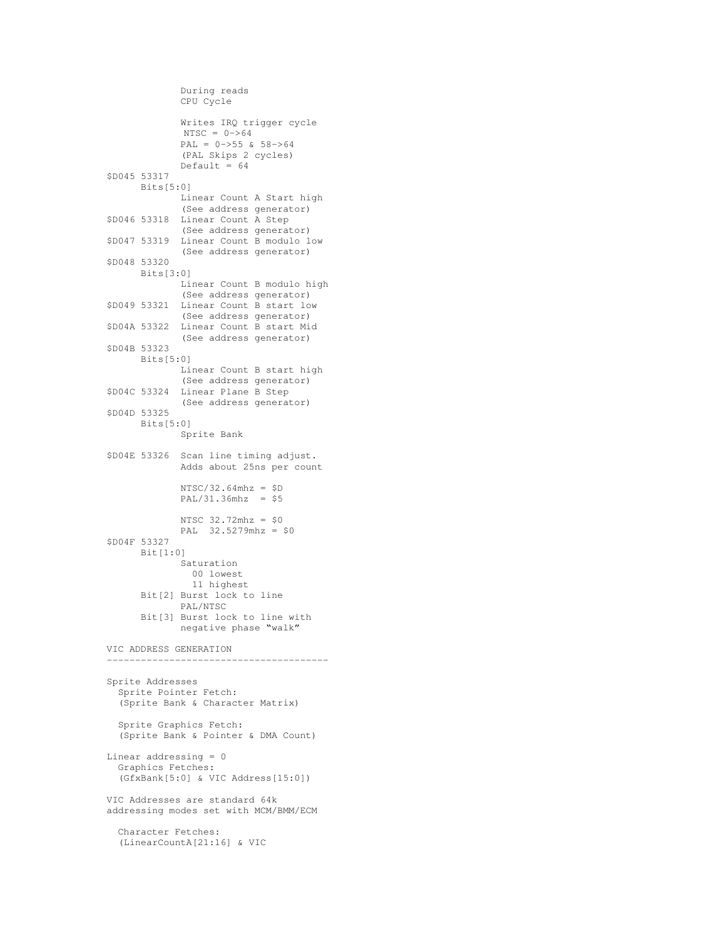```
During reads
             CPU Cycle
             Writes IRQ trigger cycle
             NTSC = 0->64PAL = 0->55 & 58->64
             (PAL Skips 2 cycles)
             Default = 64$D045 53317
     Bits[5:0]
             Linear Count A Start high
             (See address generator)
$D046 53318 Linear Count A Step
             (See address generator)
$D047 53319 Linear Count B modulo low
             (See address generator)
$D048 53320
     Bits[3:0]
             Linear Count B modulo high
             (See address generator)
$D049 53321 Linear Count B start low
             (See address generator)
$D04A 53322 Linear Count B start Mid
             (See address generator)
$D04B 53323
     Bits[5:0]
             Linear Count B start high
             (See address generator)
$D04C 53324 Linear Plane B Step
             (See address generator)
$D04D 53325
     Bits[5:0]
             Sprite Bank
$D04E 53326 Scan line timing adjust.
            Adds about 25ns per count
             NTSC/32.64mhz = $DPAL/31.36mhz = $5
             NTSC 32.72mhz = $0
            PAL 32.5279mhz = $0
$D04F 53327
     Bit[1:0]
            Saturation
              00 lowest
              11 highest
      Bit[2] Burst lock to line
            PAL/NTSC
      Bit[3] Burst lock to line with
            negative phase "walk"
VIC ADDRESS GENERATION
                      ---------------------------------------
Sprite Addresses
 Sprite Pointer Fetch:
 (Sprite Bank & Character Matrix)
 Sprite Graphics Fetch:
 (Sprite Bank & Pointer & DMA Count)
Linear addressing = 0
 Graphics Fetches:
  (GfxBank[5:0] & VIC Address[15:0])
VIC Addresses are standard 64k
addressing modes set with MCM/BMM/ECM
 Character Fetches:
  (LinearCountA[21:16] & VIC
```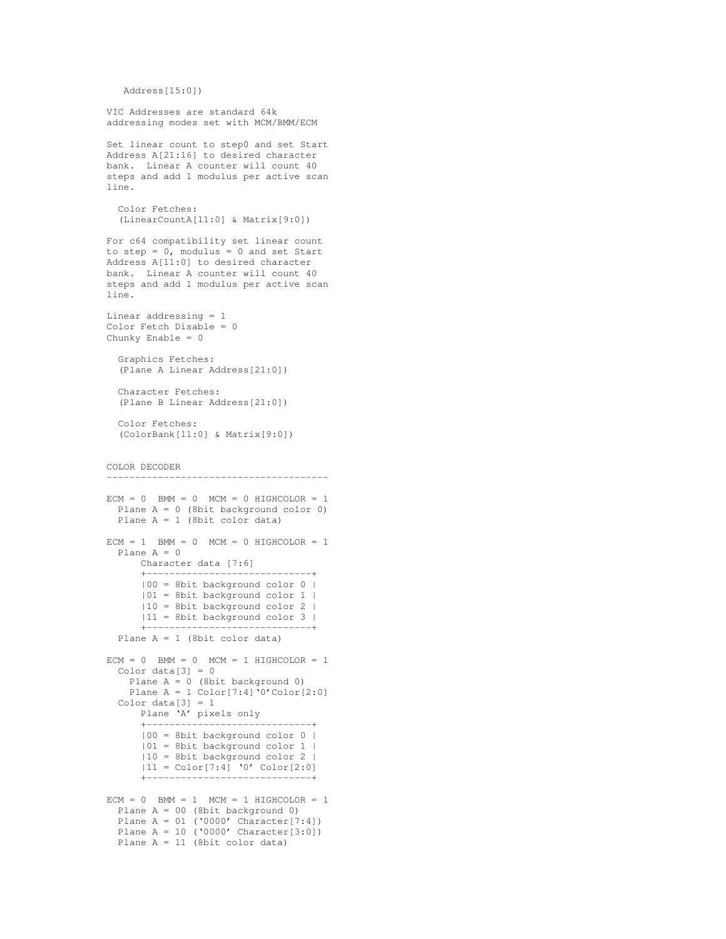```
Address[15:0])
```

```
VIC Addresses are standard 64k
addressing modes set with MCM/BMM/ECM
Set linear count to step0 and set Start
Address A[21:16] to desired character
bank. Linear A counter will count 40
steps and add 1 modulus per active scan
line.
 Color Fetches:
 (LinearCountA[11:0] & Matrix[9:0])
For c64 compatibility set linear count
to step = 0, modulus = 0 and set Start
Address A[11:0] to desired character
bank. Linear A counter will count 40
steps and add 1 modulus per active scan
line.
Linear addressing = 1
Color Fetch Disable = 0
Chunky Enable = 0
  Graphics Fetches:
  (Plane A Linear Address[21:0])
 Character Fetches:
  (Plane B Linear Address[21:0])
 Color Fetches:
  (ColorBank[11:0] & Matrix[9:0])
COLOR DECODER
---------------------------------------
ECM = 0 BMM = 0 MCM = 0 HIGHCOLOR = 1
 Plane A = 0 (8bit background color 0)
 Plane A = 1 (8bit color data)
ECM = 1 BMM = 0 MCM = 0 HIGHCOLOR = 1
 Plane A = 0Character data [7:6]
      +-----------------------------+
      |00 = 8bit background color 0 |
      |01 = 8bit background color 1 |
      |10 = 8bit background color 2 |
      |11 = 8bit background color 3 |
      +-----------------------------+
  Plane A = 1 (8bit color data)
ECM = 0 BMM = 0 MCM = 1 HIGHCOLOR = 1
  Color data[3] = 0Plane A = 0 (8bit background 0)
   Plane A = 1 Color[7:4] '0'Color[2:0]Color data[3] = 1Plane 'A' pixels only
      +-----------------------------+
      |00 = 8bit background color 0 |
      |01 = 8bit background color 1 |
      |10 = 8bit background color 2 |
     |11 = Color[7:4] '0' Color[2:0]+-----------------------------+
ECM = 0 BMM = 1 MCM = 1 HIGHCOLOR = 1
 Plane A = 00 (8bit background 0)
 Plane A = 01 ('0000' Character[7:4])
 Plane A = 10 ('0000' Character[3:0])
 Plane A = 11 (8bit color data)
```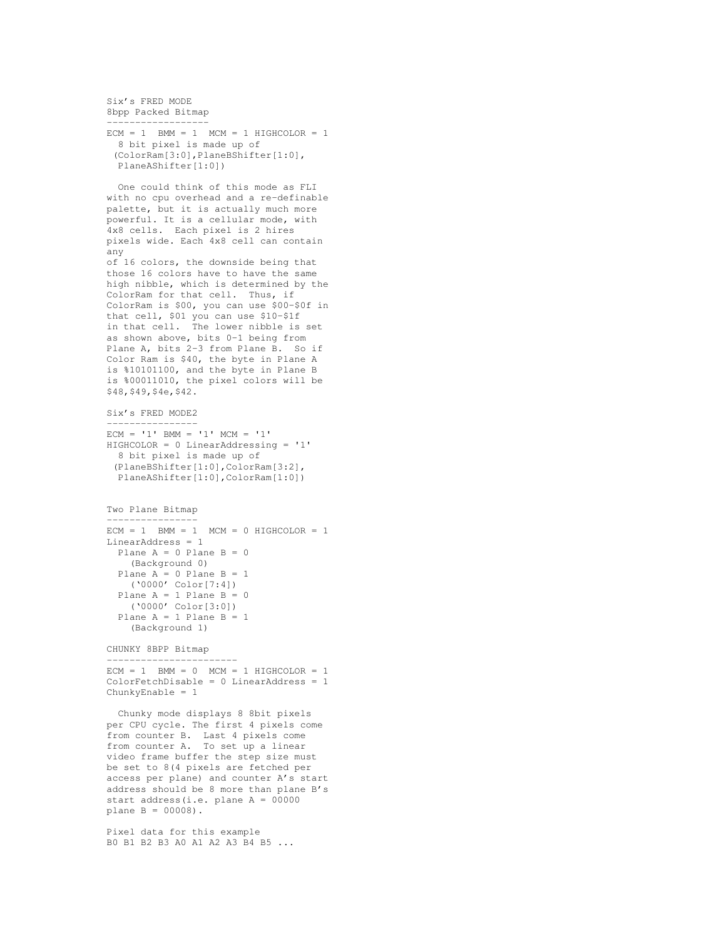Six's FRED MODE 8bpp Packed Bitmap ------------------

```
ECM = 1 BMM = 1 MCM = 1 HIGHCOLOR = 1
  8 bit pixel is made up of
 (ColorRam[3:0],PlaneBShifter[1:0],
 PlaneAShifter[1:0])
```

```
One could think of this mode as FLI
with no cpu overhead and a re-definable
palette, but it is actually much more
powerful. It is a cellular mode, with
4x8 cells. Each pixel is 2 hires
pixels wide. Each 4x8 cell can contain
any
of 16 colors, the downside being that
those 16 colors have to have the same
high nibble, which is determined by the
ColorRam for that cell. Thus, if
ColorRam is $00, you can use $00-$0f in
that cell, $01 you can use $10-$1f
in that cell. The lower nibble is set
as shown above, bits 0-1 being from
Plane A, bits 2-3 from Plane B. So if
Color Ram is $40, the byte in Plane A
is %10101100, and the byte in Plane B
is %00011010, the pixel colors will be
$48,$49,$4e,$42.
Six's FRED MODE2
 ----------------
ECM = '1' BMM = '1' MCM = '1'HIGHCOLOR = 0 LinearAddressing = '1'
  8 bit pixel is made up of
 (PlaneBShifter[1:0],ColorRam[3:2],
 PlaneAShifter[1:0],ColorRam[1:0])
Two Plane Bitmap
----------------
ECM = 1 BMM = 1 MCM = 0 HIGHCOLOR = 1
LinearAddress = 1
 Plane A = 0 Plane B = 0(Background 0)
  Plane A = 0 Plane B = 1('0000' Color[7:4])
  Plane A = 1 Plane B = 0('0000' Color[3:0])
  Plane A = 1 Plane B = 1
```
CHUNKY 8BPP Bitmap

(Background 1)

-----------------------  $ECM = 1$  BMM = 0 MCM = 1 HIGHCOLOR = 1 ColorFetchDisable = 0 LinearAddress = 1 ChunkyEnable = 1

Chunky mode displays 8 8bit pixels per CPU cycle. The first 4 pixels come from counter B. Last 4 pixels come from counter A. To set up a linear video frame buffer the step size must be set to 8(4 pixels are fetched per access per plane) and counter A's start address should be 8 more than plane B's start address(i.e. plane A = 00000 plane B = 00008).

Pixel data for this example B0 B1 B2 B3 A0 A1 A2 A3 B4 B5 ...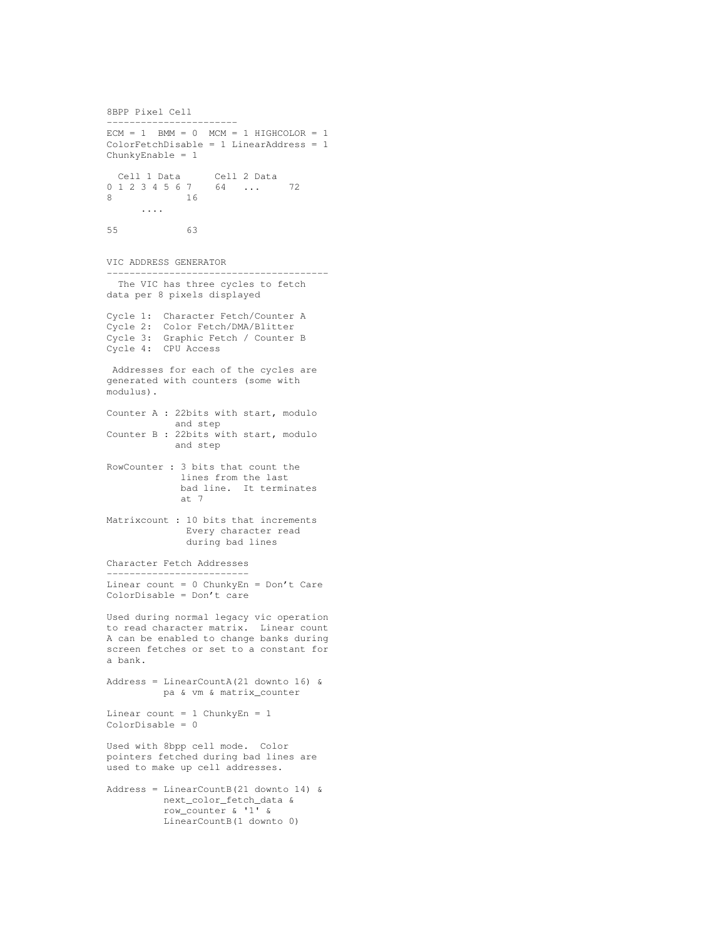```
8BPP Pixel Cell
-----------------------
ECM = 1 BMM = 0 MCM = 1 HIGHCOLOR = 1
ColorFetchDisable = 1 LinearAddress = 1
ChunkyEnable = 1
  Cell 1 Data Cell 2 Data
0 1 2 3 4 5 6 7 64 ... 72
8 16
      ....
55 63
VIC ADDRESS GENERATOR
---------------------------------------
 The VIC has three cycles to fetch
data per 8 pixels displayed
Cycle 1: Character Fetch/Counter A
Cycle 2: Color Fetch/DMA/Blitter
Cycle 3: Graphic Fetch / Counter B
Cycle 4: CPU Access
Addresses for each of the cycles are
generated with counters (some with
modulus).
Counter A : 22bits with start, modulo
           and step
Counter B : 22bits with start, modulo
           and step
RowCounter : 3 bits that count the
            lines from the last
            bad line. It terminates
            at 7
Matrixcount : 10 bits that increments
             Every character read
             during bad lines
Character Fetch Addresses
 -------------------------
Linear count = 0 ChunkyEn = Don't Care
ColorDisable = Don't care
Used during normal legacy vic operation
to read character matrix. Linear count
A can be enabled to change banks during
screen fetches or set to a constant for
a bank.
Address = LinearCountA(21 downto 16) &
         pa & vm & matrix_counter
Linear count = 1 ChunkyEn = 1ColorDisable = 0
Used with 8bpp cell mode. Color
pointers fetched during bad lines are
used to make up cell addresses.
Address = LinearCountB(21 downto 14) &
         next_color_fetch_data &
         row_counter & '1' &
         LinearCountB(1 downto 0)
```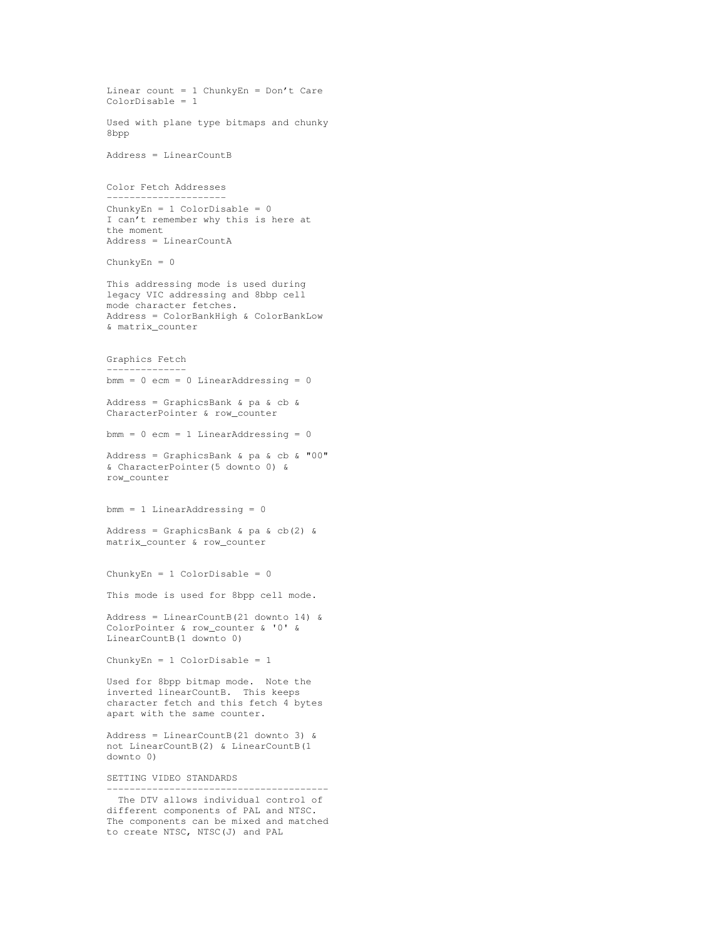```
Linear count = 1 ChunkyEn = Don't Care
ColorDisable = 1
Used with plane type bitmaps and chunky
8bpp
Address = LinearCountB
Color Fetch Addresses
 ---------------------
ChunkyEn = 1 ColorDisable = 0
I can't remember why this is here at
the moment
Address = LinearCountA
ChunkyEn = 0
This addressing mode is used during
legacy VIC addressing and 8bbp cell
mode character fetches.
Address = ColorBankHigh & ColorBankLow
& matrix_counter
Graphics Fetch
--------------
bmm = 0 ecm = 0 LinearAddressing = 0
Address = GraphicsBank & pa & cb &
CharacterPointer & row_counter
bmm = 0 ecm = 1 LinearAddressing = 0
Address = GraphicsBank & pa & cb & "00"
& CharacterPointer(5 downto 0) &
row_counter
bmm = 1 LinearAddressing = 0
Address = GraphicsBank & pa & cb(2) &
matrix_counter & row_counter
ChunkyEn = 1 ColorDisable = 0
This mode is used for 8bpp cell mode.
Address = LinearCountB(21 downto 14) &
ColorPointer & row_counter & '0' &
LinearCountB(1 downto 0)
ChunkyEn = 1 ColorDisable = 1
Used for 8bpp bitmap mode. Note the
inverted linearCountB. This keeps
character fetch and this fetch 4 bytes
apart with the same counter.
Address = LinearCountB(21 downto 3) &
not LinearCountB(2) & LinearCountB(1
downto 0)
SETTING VIDEO STANDARDS
---------------------------------------
 The DTV allows individual control of
different components of PAL and NTSC.
The components can be mixed and matched
to create NTSC, NTSC(J) and PAL
```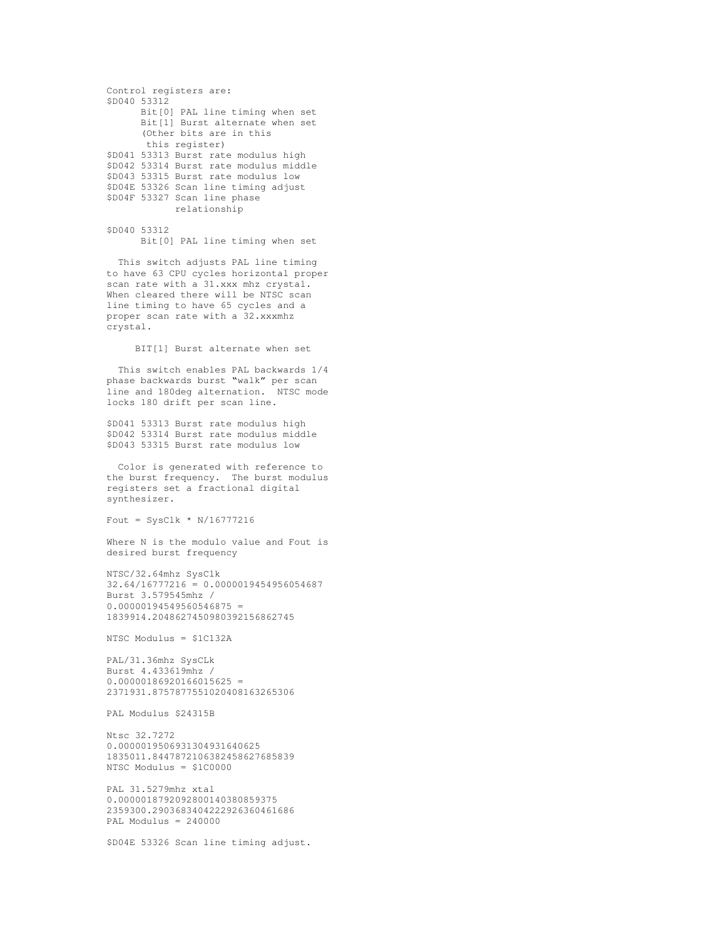```
Control registers are:
$D040 53312
     Bit[0] PAL line timing when set
     Bit[1] Burst alternate when set
      (Other bits are in this
      this register)
$D041 53313 Burst rate modulus high
$D042 53314 Burst rate modulus middle
$D043 53315 Burst rate modulus low
$D04E 53326 Scan line timing adjust
$D04F 53327 Scan line phase
           relationship
```
\$D040 53312 Bit[0] PAL line timing when set

This switch adjusts PAL line timing to have 63 CPU cycles horizontal proper scan rate with a 31.xxx mhz crystal. When cleared there will be NTSC scan line timing to have 65 cycles and a proper scan rate with a 32.xxxmhz crystal.

BIT[1] Burst alternate when set

This switch enables PAL backwards 1/4 phase backwards burst "walk" per scan line and 180deg alternation. NTSC mode locks 180 drift per scan line.

\$D041 53313 Burst rate modulus high \$D042 53314 Burst rate modulus middle \$D043 53315 Burst rate modulus low

Color is generated with reference to the burst frequency. The burst modulus registers set a fractional digital synthesizer.

Fout = SysClk  $*$  N/16777216

Where N is the modulo value and Fout is desired burst frequency

NTSC/32.64mhz SysClk 32.64/16777216 = 0.0000019454956054687 Burst 3.579545mhz /  $0.00000194549560546875 =$ 1839914.2048627450980392156862745

NTSC Modulus = \$1C132A

PAL/31.36mhz SysCLk Burst 4.433619mhz /  $0.00000186920166015625 =$ 2371931.8757877551020408163265306

PAL Modulus \$24315B

Ntsc 32.7272 0.0000019506931304931640625 1835011.8447872106382458627685839 NTSC Modulus = \$1C0000

PAL 31.5279mhz xtal 0.0000018792092800140380859375 2359300.2903683404222926360461686 PAL Modulus = 240000

\$D04E 53326 Scan line timing adjust.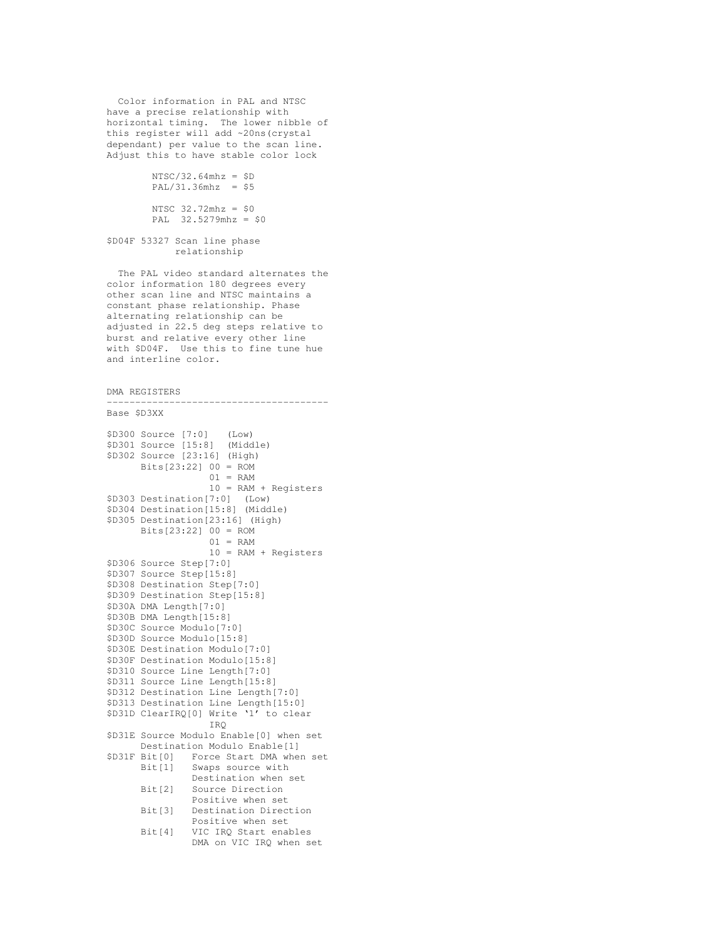Color information in PAL and NTSC have a precise relationship with horizontal timing. The lower nibble of this register will add ~20ns(crystal dependant) per value to the scan line. Adjust this to have stable color lock

```
NTSC/32.64mhz = $DPAL/31.36mhz = $5NTSC 32.72mhz = $0
PAL 32.5279mhz = $0
```
\$D04F 53327 Scan line phase relationship

The PAL video standard alternates the color information 180 degrees every other scan line and NTSC maintains a constant phase relationship. Phase alternating relationship can be adjusted in 22.5 deg steps relative to burst and relative every other line with \$D04F. Use this to fine tune hue and interline color.

---------------------------------------

```
DMA REGISTERS
```

```
Base $D3XX
$D300 Source [7:0] (Low)<br>$D301 Source [15:8] (Midd
$D301 Source [15:8] (Middle)
$D302 Source [23:16] (High)
      Bits[23:22] 00 = ROM
                   01 = RAM10 = RAM + Registers
$D303 Destination[7:0] (Low)
$D304 Destination[15:8] (Middle)
$D305 Destination[23:16] (High)
      Bits[23:22] 00 = ROM
                   01 = RAM10 = RAM + Registers
$D306 Source Step[7:0]
$D307 Source Step[15:8]
$D308 Destination Step[7:0]
$D309 Destination Step[15:8]
$D30A DMA Length[7:0]
$D30B DMA Length[15:8]
$D30C Source Modulo[7:0]
$D30D Source Modulo[15:8]
$D30E Destination Modulo[7:0]
$D30F Destination Modulo[15:8]
$D310 Source Line Length[7:0]
$D311 Source Line Length[15:8]
$D312 Destination Line Length[7:0]
$D313 Destination Line Length[15:0]
$D31D ClearIRQ[0] Write '1' to clear
                   IRQ
$D31E Source Modulo Enable[0] when set
Destination Modulo Enable[1]<br>$D31F Bit[0] Force Start DMA when
               Force Start DMA when set
      Bit[1] Swaps source with
                Destination when set
      Bit[2] Source Direction
                Positive when set
      Bit[3] Destination Direction
                Positive when set
      Bit[4] VIC IRQ Start enables
                DMA on VIC IRQ when set
```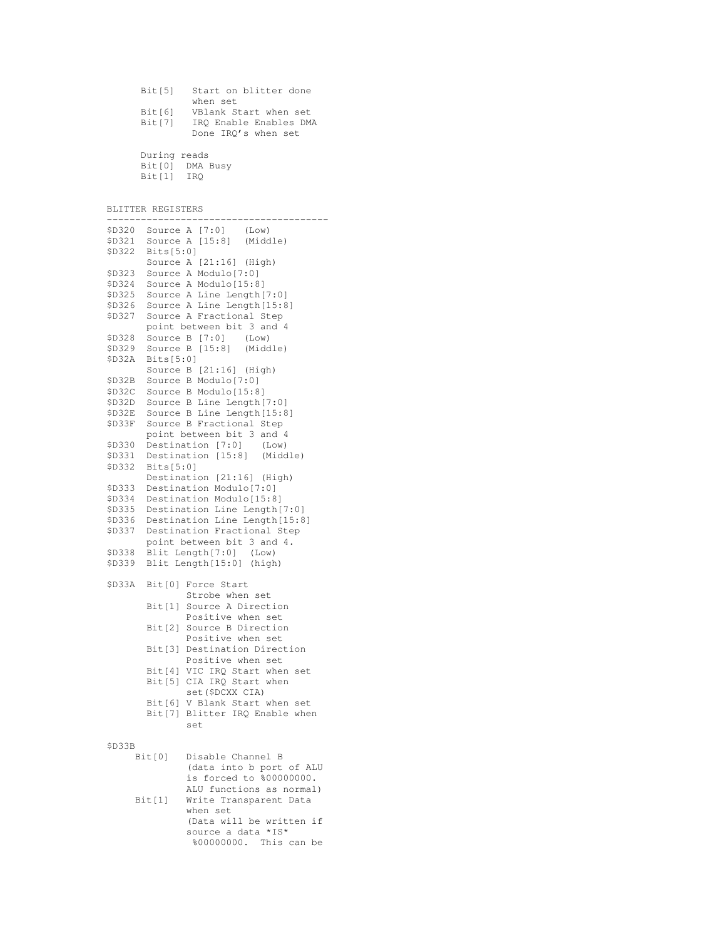| Bit[5] | Start on blitter done  |
|--------|------------------------|
|        | when set               |
| Bit[6] | VBlank Start when set  |
| Bit[7] | IRO Enable Enables DMA |
|        | Done IRO's when set    |
|        |                        |

During reads Bit[0] DMA Busy Bit[1] IRQ

BLITTER REGISTERS

| \$D320           |           |                                                              |
|------------------|-----------|--------------------------------------------------------------|
| \$D321           |           | Source A [7:0] (Low)<br>Source A [15:8] (Middle)             |
| \$D322           | Bits[5:0] |                                                              |
|                  |           | Source A [21:16] (High)                                      |
| \$D323           |           | Source A Modulo[7:0]                                         |
| \$D324           |           | Source A Modulo[15:8]                                        |
| \$D325           |           | Source A Line Length [7:0]                                   |
| \$D326           |           | Source A Line Length [15:8]                                  |
| \$D327           |           | Source A Fractional Step                                     |
|                  |           | point between bit 3 and 4                                    |
| \$D328           |           | Source B [7:0] (Low)<br>Source B [15:8] (Middle)             |
| \$D329           |           |                                                              |
| \$D32A           | Bits[5:0] |                                                              |
|                  |           | Source B [21:16] (High)                                      |
| \$D32B           |           | Source B Modulo[7:0]                                         |
| \$D32C           |           | Source B Modulo[15:8]                                        |
| \$D32D           |           | Source B Line Length [7:0]                                   |
| \$D32E           |           | Source B Line Length [15:8]                                  |
| \$D33F           |           | Source B Fractional Step                                     |
|                  |           | point between bit 3 and 4                                    |
| \$D330           |           | Destination [7:0] (Low)<br>Destination [15:8] (Middle)       |
| \$D331           |           |                                                              |
| \$D332           | Bits[5:0] |                                                              |
|                  |           | Destination [21:16] (High)                                   |
| \$D333           |           | Destination Modulo[7:0]                                      |
| \$D334           |           | Destination Modulo[15:8]                                     |
| \$D335           |           | Destination Line Length [7:0]                                |
| \$D336<br>\$D337 |           | Destination Line Length[15:8]<br>Destination Fractional Step |
|                  |           |                                                              |
| \$D338           |           | point between bit 3 and 4.<br>Blit Length [7:0] (Low)        |
| \$D339           |           | Blit Length[15:0] (high)                                     |
|                  |           |                                                              |
| \$D33A           |           | Bit [0] Force Start                                          |
|                  |           | Strobe when set                                              |
|                  |           | Bit[1] Source A Direction                                    |
|                  |           | Positive when set                                            |
|                  |           | Bit [2] Source B Direction                                   |
|                  |           | Positive when set                                            |
|                  |           | Bit[3] Destination Direction                                 |
|                  |           | Positive when set                                            |
|                  |           | Bit [4] VIC IRQ Start when set                               |
|                  |           | Bit [5] CIA IRQ Start when                                   |
|                  |           | set (\$DCXX CIA)                                             |
|                  |           | Bit[6] V Blank Start when set                                |
|                  |           | Bit [7] Blitter IRQ Enable when                              |
|                  |           | set                                                          |
|                  |           |                                                              |
| \$D33B           |           |                                                              |
|                  | Bit[0]    | Disable Channel B                                            |
|                  |           | (data into b port of ALU                                     |
|                  |           | is forced to %00000000.                                      |
|                  |           | ALU functions as normal)                                     |
|                  | Bit[1]    | Write Transparent Data<br>when set                           |
|                  |           | (Data will be written if                                     |
|                  |           | source a data *IS*                                           |
|                  |           |                                                              |

%00000000. This can be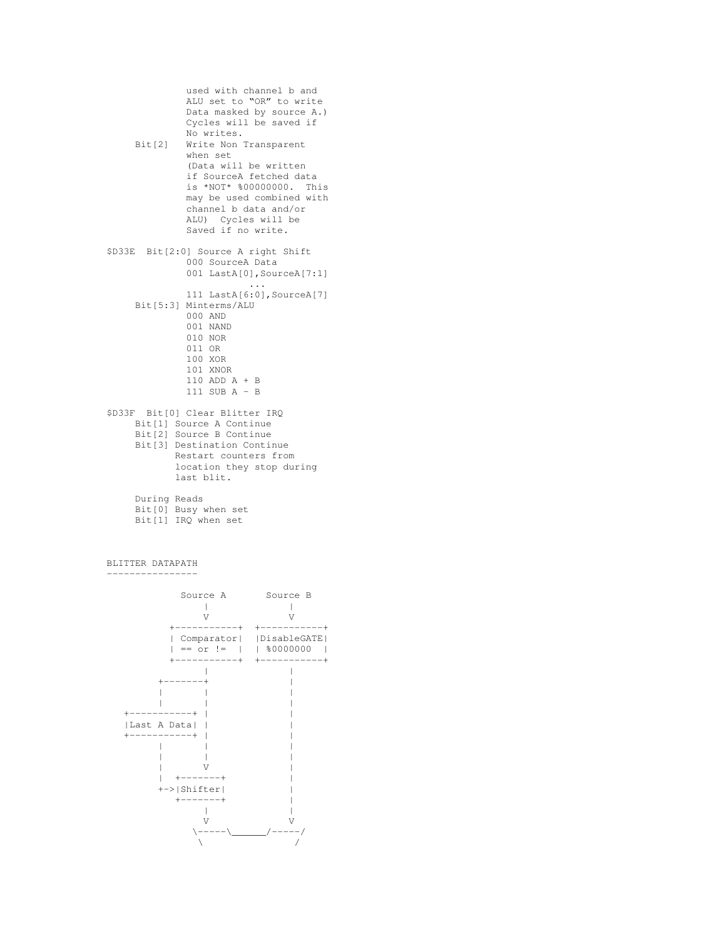```
used with channel b and
             ALU set to "OR" to write
             Data masked by source A.)
             Cycles will be saved if
             No writes.
    Bit[2] Write Non Transparent
             when set
             (Data will be written
             if SourceA fetched data
             is *NOT* %00000000. This
             may be used combined with
             channel b data and/or
             ALU) Cycles will be
             Saved if no write.
$D33E Bit[2:0] Source A right Shift
             000 SourceA Data
             001 LastA[0],SourceA[7:1]
                        ...
             111 LastA[6:0],SourceA[7]
    Bit[5:3] Minterms/ALU
             000 AND
             001 NAND
             010 NOR
             011 OR
             100 XOR
             101 XNOR
             110 ADD A + B
             111 SUB A - B
$D33F Bit[0] Clear Blitter IRQ
    Bit[1] Source A Continue
    Bit[2] Source B Continue
    Bit[3] Destination Continue
           Restart counters from
           location they stop during
           last blit.
    During Reads
    Bit[0] Busy when set
    Bit[1] IRQ when set
```
BLITTER DATAPATH ---------------- Source A Source B | | V V +-----------+ +-----------+ | Comparator| |DisableGATE| | == or != | | %0000000 | +-----------+ +-----------+ | |  $+ - - - - - - +$ | | | | | | +-----------+ | | |Last A Data| | | +-----------+ | | | | | | | | | V | | +-------+ | | | +->|Shifter| |  $+ - - - - - - +$  | | | V<br>
V<br>
V<br>
/-----/<br>
/-----/  $\setminus----\setminus$  $\sqrt{2}$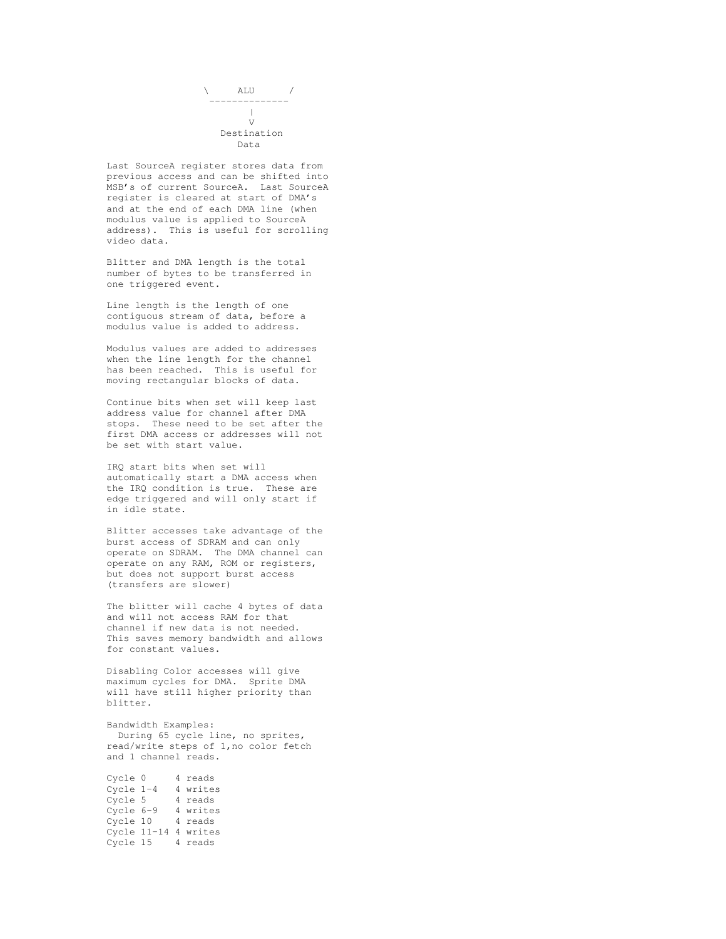

Last SourceA register stores data from previous access and can be shifted into MSB's of current SourceA. Last SourceA register is cleared at start of DMA's and at the end of each DMA line (when modulus value is applied to SourceA address). This is useful for scrolling video data.

Blitter and DMA length is the total number of bytes to be transferred in one triggered event.

Line length is the length of one contiguous stream of data, before a modulus value is added to address.

Modulus values are added to addresses when the line length for the channel has been reached. This is useful for moving rectangular blocks of data.

Continue bits when set will keep last address value for channel after DMA stops. These need to be set after the first DMA access or addresses will not be set with start value.

IRQ start bits when set will automatically start a DMA access when the IRQ condition is true. These are edge triggered and will only start if in idle state.

Blitter accesses take advantage of the burst access of SDRAM and can only operate on SDRAM. The DMA channel can operate on any RAM, ROM or registers, but does not support burst access (transfers are slower)

The blitter will cache 4 bytes of data and will not access RAM for that channel if new data is not needed. This saves memory bandwidth and allows for constant values.

Disabling Color accesses will give maximum cycles for DMA. Sprite DMA will have still higher priority than blitter.

Bandwidth Examples: During 65 cycle line, no sprites, read/write steps of 1,no color fetch and 1 channel reads.

| Cycle 0     |  | 4 reads              |
|-------------|--|----------------------|
| Cycle $1-4$ |  | 4 writes             |
| Cycle 5     |  | 4 reads              |
| Cycle 6-9   |  | 4 writes             |
| Cycle 10    |  | 4 reads              |
|             |  | Cycle 11-14 4 writes |
| Cycle 15    |  | 4 reads              |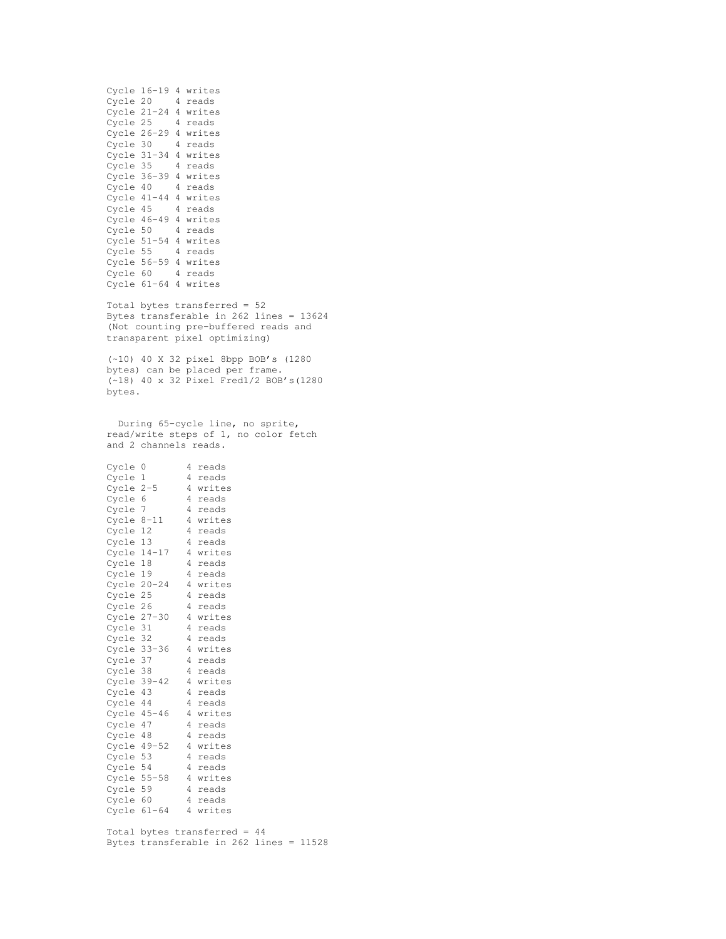| Cycle | $16 - 19$ | 4 | writes |
|-------|-----------|---|--------|
| Cycle | 20        | 4 | reads  |
| Cycle | 21-24     | 4 | writes |
| Cycle | 25        | 4 | reads  |
| Cycle | $26 - 29$ | 4 | writes |
| Cycle | 30        | 4 | reads  |
| Cycle | $31 - 34$ | 4 | writes |
| Cycle | 35        | 4 | reads  |
| Cycle | $36 - 39$ | 4 | writes |
| Cycle | 40        | 4 | reads  |
| Cycle | $41 - 44$ | 4 | writes |
| Cycle | 45        | 4 | reads  |
| Cycle | $46 - 49$ | 4 | writes |
| Cycle | 50        | 4 | reads  |
| Cycle | $51 - 54$ | 4 | writes |
| Cycle | 55        | 4 | reads  |
| Cycle | $56 - 59$ | 4 | writes |
| Cycle | 60        | 4 | reads  |
| Cycle | $61 - 64$ | 4 | writes |

Total bytes transferred = 52 Bytes transferable in 262 lines = 13624 (Not counting pre-buffered reads and transparent pixel optimizing)

(~10) 40 X 32 pixel 8bpp BOB's (1280 bytes) can be placed per frame. (~18) 40 x 32 Pixel Fred1/2 BOB's(1280 bytes.

During 65-cycle line, no sprite, read/write steps of 1, no color fetch and 2 channels reads.

| Cycle       | 0         | 4 | reads  |
|-------------|-----------|---|--------|
| Cycle       | 1         | 4 | reads  |
| Cycle       | $2 - 5$   | 4 | writes |
| Cycle       | 6         | 4 | reads  |
| Cycle       | 7         | 4 | reads  |
| Cycle 8-11  |           | 4 | writes |
| Cycle       | 12        | 4 | reads  |
| Cycle       | 13        | 4 | reads  |
| Cycle       | $14 - 17$ | 4 | writes |
| Cycle       | 18        | 4 | reads  |
| Cycle       | 19        | 4 | reads  |
| Cycle       | $20 - 24$ | 4 | writes |
| Cycle       | 25        | 4 | reads  |
| Cycle 26    |           | 4 | reads  |
| Cycle       | $27 - 30$ | 4 | writes |
| Cycle       | 31        | 4 | reads  |
| Cycle       | 32        | 4 | reads  |
| Cycle 33-36 |           | 4 | writes |
| Cycle 37    |           | 4 | reads  |
| Cycle 38    |           | 4 | reads  |
| Cycle       | $39 - 42$ | 4 | writes |
| Cycle       | 43        | 4 | reads  |
| Cycle 44    |           | 4 | reads  |
| Cycle 45-46 |           | 4 | writes |
| Cycle       | 47        | 4 | reads  |
| Cycle       | 48        | 4 | reads  |
| Cycle 49-52 |           | 4 | writes |
| Cycle       | 53        | 4 | reads  |
| Cycle       | 54        | 4 | reads  |
| Cycle       | $55 - 58$ | 4 | writes |
| Cycle       | 59        | 4 | reads  |
| Cycle       | 60        | 4 | reads  |
| Cycle       | $61 - 64$ | 4 | writes |
|             |           |   |        |

Total bytes transferred = 44 Bytes transferable in 262 lines = 11528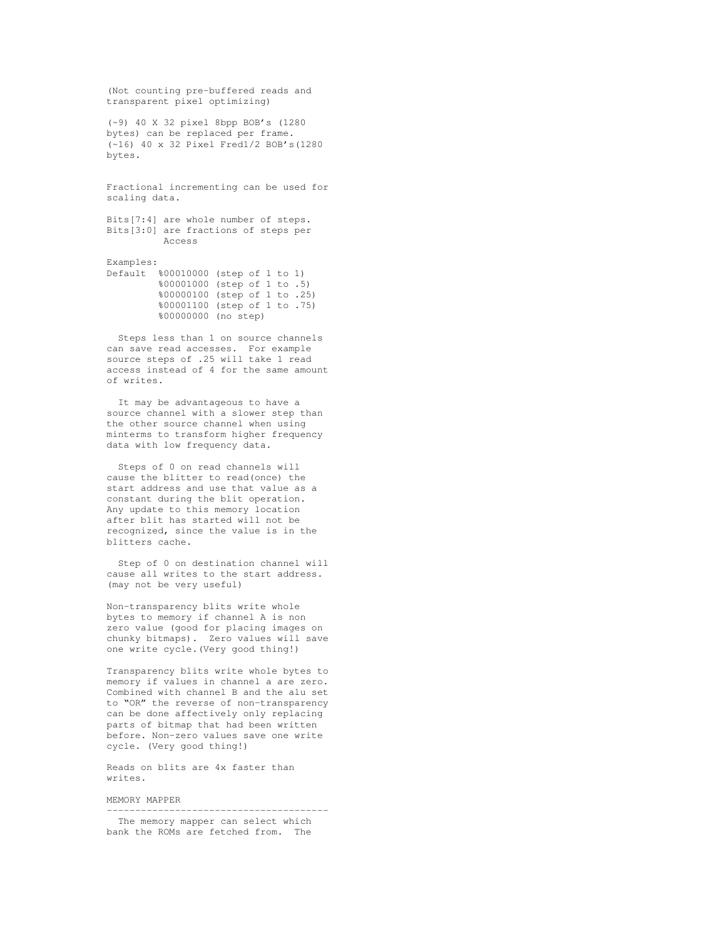(Not counting pre-buffered reads and transparent pixel optimizing)

(~9) 40 X 32 pixel 8bpp BOB's (1280 bytes) can be replaced per frame. (~16) 40 x 32 Pixel Fred1/2 BOB's(1280 bytes.

Fractional incrementing can be used for scaling data.

Bits[7:4] are whole number of steps. Bits[3:0] are fractions of steps per Access

Examples: Default %00010000 (step of 1 to 1) %00001000 (step of 1 to .5) %00000100 (step of 1 to .25) %00001100 (step of 1 to .75) %00000000 (no step)

Steps less than 1 on source channels can save read accesses. For example source steps of .25 will take 1 read access instead of 4 for the same amount of writes.

It may be advantageous to have a source channel with a slower step than the other source channel when using minterms to transform higher frequency data with low frequency data.

Steps of 0 on read channels will cause the blitter to read(once) the start address and use that value as a constant during the blit operation. Any update to this memory location after blit has started will not be recognized, since the value is in the blitters cache.

Step of 0 on destination channel will cause all writes to the start address. (may not be very useful)

Non-transparency blits write whole bytes to memory if channel A is non zero value (good for placing images on chunky bitmaps). Zero values will save one write cycle.(Very good thing!)

Transparency blits write whole bytes to memory if values in channel a are zero. Combined with channel B and the alu set to "OR" the reverse of non-transparency can be done affectively only replacing parts of bitmap that had been written before. Non-zero values save one write cycle. (Very good thing!)

Reads on blits are 4x faster than writes.

MEMORY MAPPER

--------------------------------------- The memory mapper can select which bank the ROMs are fetched from. The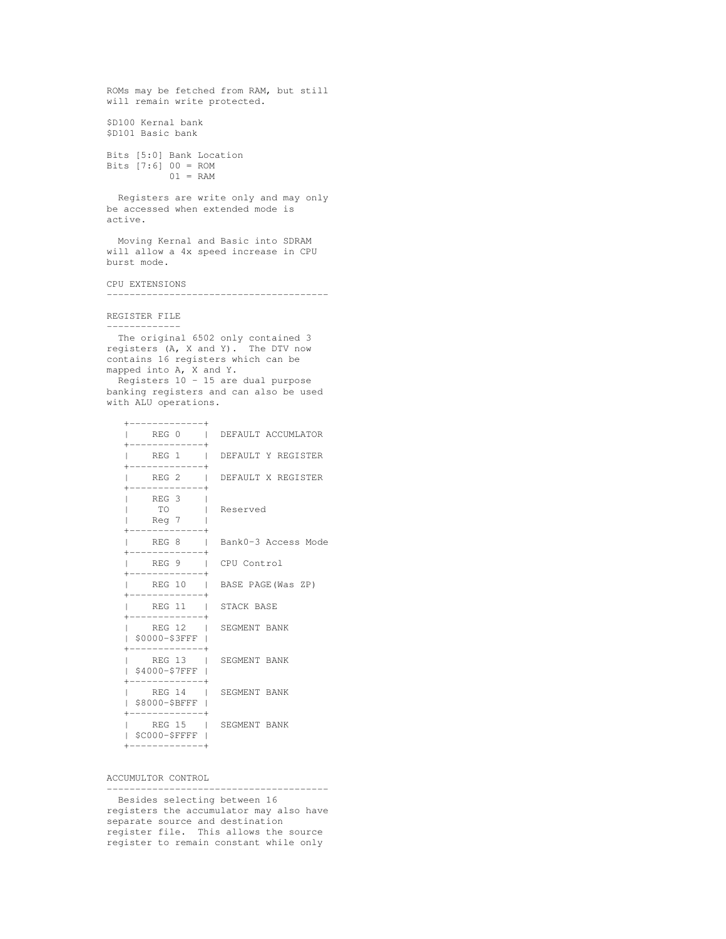```
ROMs may be fetched from RAM, but still
will remain write protected.
$D100 Kernal bank
$D101 Basic bank
Bits [5:0] Bank Location
Bits [7:6] 00 = ROM
          01 = RAMRegisters are write only and may only
be accessed when extended mode is
```
active. Moving Kernal and Basic into SDRAM

will allow a 4x speed increase in CPU burst mode.

CPU EXTENSIONS

---------------------------------------

REGISTER FILE -------------

The original 6502 only contained 3 registers (A, X and Y). The DTV now contains 16 registers which can be mapped into A, X and Y.

Registers 10 - 15 are dual purpose banking registers and can also be used with ALU operations.

| REG 0                                  | DEFAULT ACCUMLATOR          |
|----------------------------------------|-----------------------------|
| REG 1                                  | DEFAULT Y REGISTER          |
|                                        | REG 2   DEFAULT X REGISTER  |
| REG 3<br><b>TO</b><br>Reg 7            | Reserved                    |
|                                        | REG 8   Bank0-3 Access Mode |
| REG 9   CPU Control                    |                             |
|                                        | REG 10   BASE PAGE(Was ZP)  |
| REG 11 I STACK BASE                    |                             |
| REG 12   SEGMENT BANK<br>\$0000-\$3FFF |                             |
| \$4000-\$7FFF                          | REG 13   SEGMENT BANK       |
| \$8000-\$BFFF                          | REG 14   SEGMENT BANK       |
| \$C000-\$FFFF                          | REG 15   SEGMENT BANK       |

ACCUMULTOR CONTROL

--------------------------------------- Besides selecting between 16 registers the accumulator may also have separate source and destination register file. This allows the source register to remain constant while only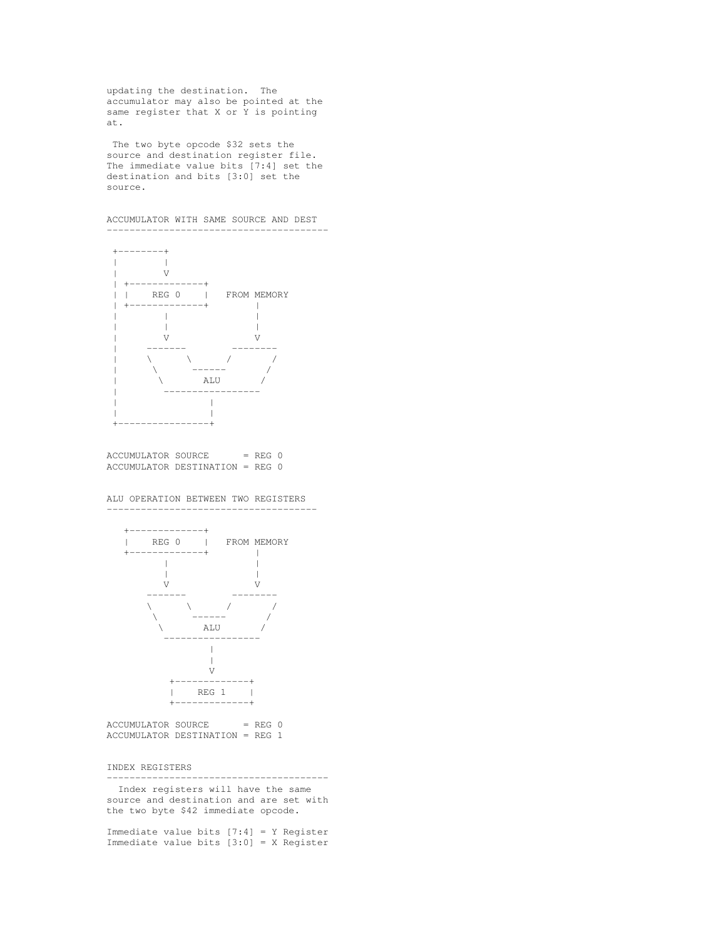updating the destination. The accumulator may also be pointed at the same register that X or Y is pointing at.

The two byte opcode \$32 sets the source and destination register file. The immediate value bits [7:4] set the destination and bits [3:0] set the source.

ACCUMULATOR WITH SAME SOURCE AND DEST



 $ACCUMULATION SOURCE = REG 0$ ACCUMULATOR DESTINATION = REG 0

#### ALU OPERATION BETWEEN TWO REGISTERS -------------------------------------



 $ACCUMULATION SOURCE = REG 0$ ACCUMULATOR DESTINATION = REG 1

INDEX REGISTERS

--------------------------------------- Index registers will have the same source and destination and are set with

the two byte \$42 immediate opcode.

Immediate value bits [7:4] = Y Register Immediate value bits [3:0] = X Register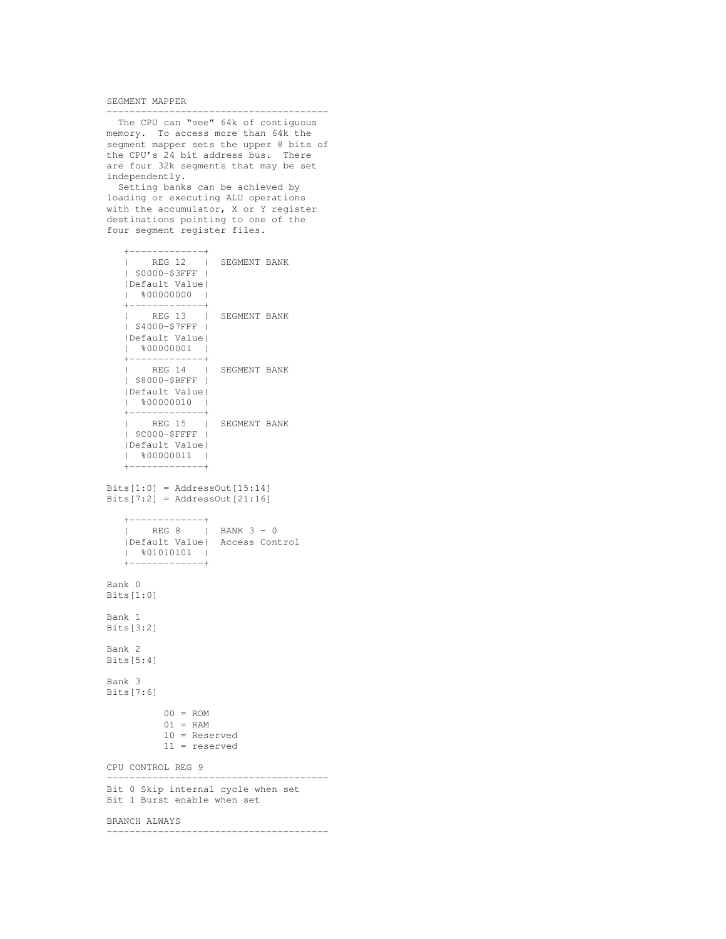SEGMENT MAPPER

The CPU can "see" 64k of contiguous memory. To access more than 64k the segment mapper sets the upper 8 bits of the CPU's 24 bit address bus. There are four 32k segments that may be set independently.

---------------------------------------

Setting banks can be achieved by loading or executing ALU operations with the accumulator, X or Y register destinations pointing to one of the four segment register files.

```
+-------------+
  |<br>| REG 12 | SEGMENT BANK
  | $0000-$3FFF |
  |Default Value|
  | *000000000 |
  +-------------+
  | REG 13 | SEGMENT BANK
  | $4000-$7FFF |
  |Default Value|
  | %00000001 |
  +-------------+
  | REG 14 | SEGMENT BANK
  | $8000-$BFFF |
  |Default Value|
  | %00000010 |
  +-------------+<br>| REG 15 |
  | REG 15 | SEGMENT BANK
  | $C000-$FFFF |
  |Default Value|
  | %00000011 |
  +-------------+
Bits[1:0] = AddressOut[15:14]
```
Bits $[7:2]$  = AddressOut $[21:16]$ 

```
+-------------+
| REG 8 | BANK 3 - 0
|Default Value| Access Control
| %01010101 |
+-------------+
```

```
Bank 0
Bits[1:0]
```
Bank 1 Bits[3:2] Bank 2 Bits[5:4]

Bank 3 Bits[7:6]

> $00 = ROM$  $01 = RAM$ 10 = Reserved 11 = reserved

CPU CONTROL REG 9

--------------------------------------- Bit 0 Skip internal cycle when set Bit 1 Burst enable when set

#### BRANCH ALWAYS

---------------------------------------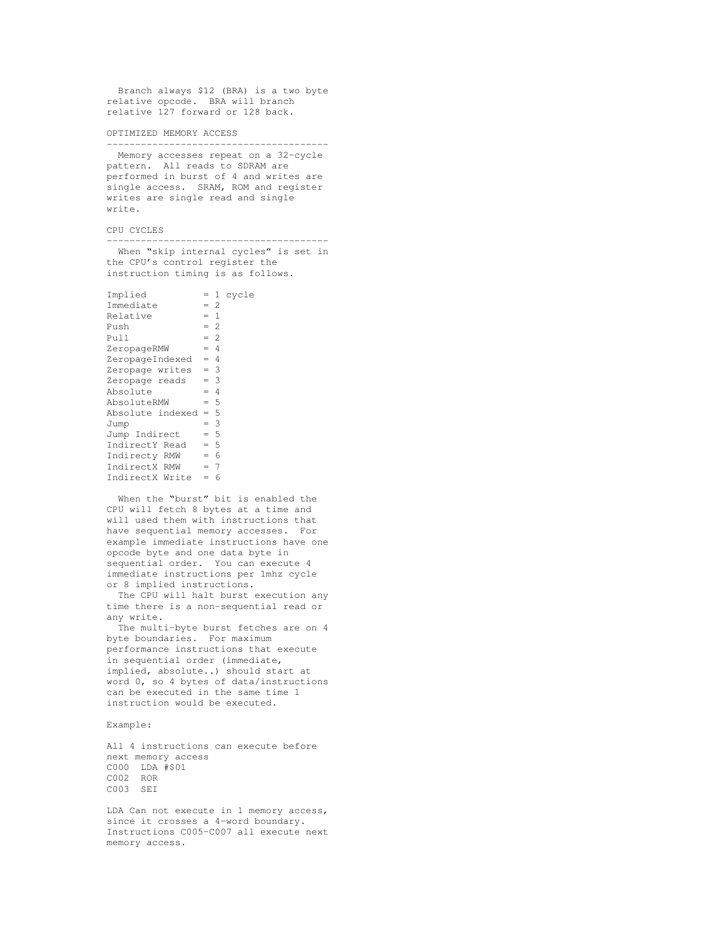Branch always \$12 (BRA) is a two byte relative opcode. BRA will branch relative 127 forward or 128 back.

OPTIMIZED MEMORY ACCESS

---------------------------------------

Memory accesses repeat on a 32-cycle pattern. All reads to SDRAM are performed in burst of 4 and writes are single access. SRAM, ROM and register writes are single read and single write.

CPU CYCLES

When "skip internal cycles" is set in the CPU's control register the instruction timing is as follows.

---------------------------------------

| Implied               |       |   | = 1 cycle |
|-----------------------|-------|---|-----------|
| Immediate             | $= 2$ |   |           |
| Relative              | $= 1$ |   |           |
| Push                  | $= 2$ |   |           |
| Pull                  | $= 2$ |   |           |
| ZeropageRMW           | $= 4$ |   |           |
| ZeropageIndexed       | $= 4$ |   |           |
| Zeropage writes $= 3$ |       |   |           |
| Zeropage reads        | $= 3$ |   |           |
| Absolute              | $= 4$ |   |           |
| AbsoluteRMW           | $= 5$ |   |           |
| Absolute indexed      | $= 5$ |   |           |
| Jump                  | $=$ 3 |   |           |
| Jump Indirect         | $= 5$ |   |           |
| IndirectY Read        | $= 5$ |   |           |
| Indirecty RMW         | $= 6$ |   |           |
| IndirectX RMW         | $= 7$ |   |           |
| IndirectX Write       | $=$   | 6 |           |
|                       |       |   |           |

When the "burst" bit is enabled the CPU will fetch 8 bytes at a time and will used them with instructions that have sequential memory accesses. For example immediate instructions have one opcode byte and one data byte in sequential order. You can execute 4 immediate instructions per 1mhz cycle or 8 implied instructions.

The CPU will halt burst execution any time there is a non-sequential read or any write.

The multi-byte burst fetches are on 4 byte boundaries. For maximum performance instructions that execute in sequential order (immediate, implied, absolute..) should start at word 0, so 4 bytes of data/instructions can be executed in the same time 1 instruction would be executed.

### Example:

All 4 instructions can execute before next memory access C000 LDA #\$01 C002 ROR C003 SEI

LDA Can not execute in 1 memory access, since it crosses a 4-word boundary. Instructions C005-C007 all execute next memory access.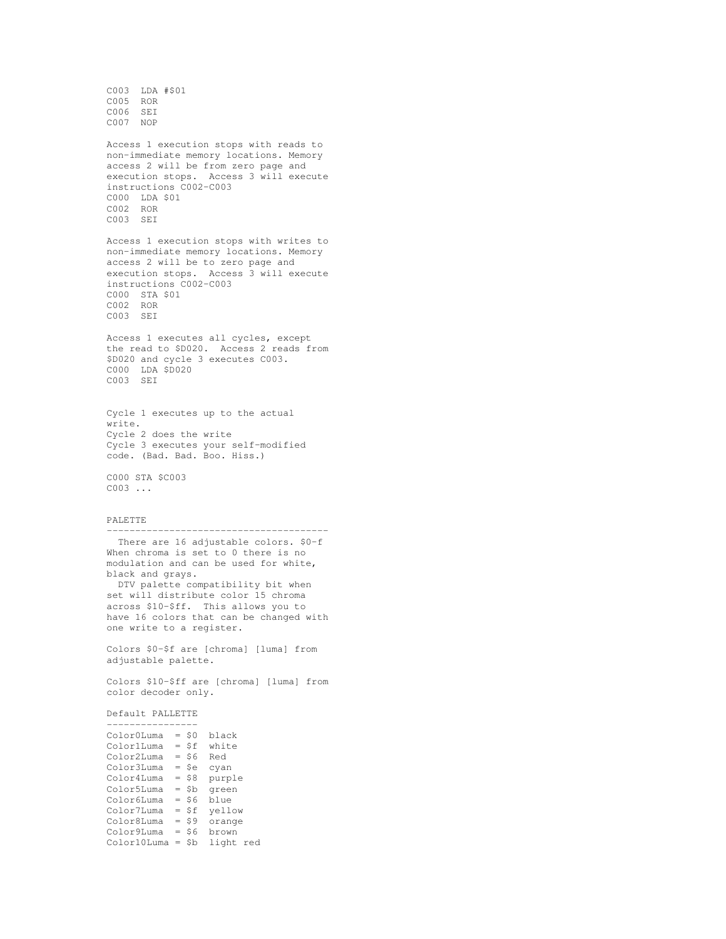C003 LDA #\$01 C005 ROR C006 SEI C007 NOP Access 1 execution stops with reads to non-immediate memory locations. Memory access 2 will be from zero page and execution stops. Access 3 will execute instructions C002-C003 C000 LDA \$01 C002 ROR C003 SEI Access 1 execution stops with writes to non-immediate memory locations. Memory access 2 will be to zero page and execution stops. Access 3 will execute instructions C002-C003 C000 STA \$01 C002 ROR C003 SEI Access 1 executes all cycles, except the read to \$D020. Access 2 reads from \$D020 and cycle 3 executes C003. C000 LDA \$D020 C<sub>003</sub> SET Cycle 1 executes up to the actual write. Cycle 2 does the write Cycle 3 executes your self-modified code. (Bad. Bad. Boo. Hiss.) C000 STA \$C003 C003 ... PALETTE --------------------------------------- There are 16 adjustable colors. \$0-f When chroma is set to 0 there is no modulation and can be used for white, black and grays. DTV palette compatibility bit when set will distribute color 15 chroma across \$10-\$ff. This allows you to have 16 colors that can be changed with one write to a register. Colors \$0-\$f are [chroma] [luma] from adjustable palette. Colors \$10-\$ff are [chroma] [luma] from color decoder only. Default PALLETTE ---------------- Color0Luma = \$0 black Color1Luma = \$f white Color2Luma = \$6 Red Color3Luma = \$e cyan Color4Luma = \$8 purple Color5Luma = \$b green Color6Luma = \$6 blue Color7Luma = \$f yellow Color8Luma = \$9 orange Color9Luma = \$6 brown Color10Luma = \$b light red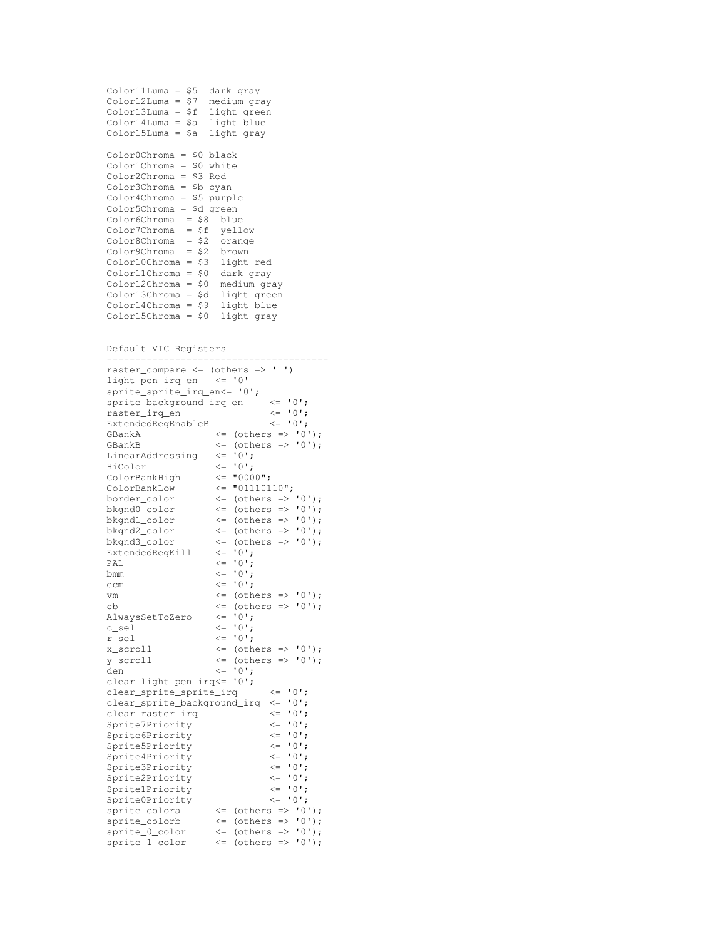```
Color11Luma = $5 dark gray
Color12Luma = $7 medium gray
Color13Luma = $f light green
Color14Luma = $a light blue
Color15Luma = $a light gray
Color0Chroma = $0 black
Color1Chroma = $0 white
Color2Chroma = $3 Red
Color3Chroma = $b cyan
Color4Chroma = $5 purple
Color5Chroma = $d green
Color6Chroma = $8 blue
Color7Chroma = $f yellow
Color8Chroma = $2 orange
Color9Chroma = $2 brown
Color10Chroma = $3 light red
Color11Chroma = $0 dark gray
Color12Chroma = $0 medium gray
Color13Chroma = $d light green
Color14Chroma = $9 light blue
Color15Chroma = $0 light gray
Default VIC Registers
---------------------------------------
raster compare \leq (others \Rightarrow '1')
light_pen_irq_en <= '0'
sprite_sprite_irq_en<= '0';
sprite_background_irq_en <= '0';
raster_irq_en <= '0';
ExtendedRegEnableB <= '0';
GBankA \leq (others => '0');<br>GBankB \leq (others => '0');
                       \leq (others \Rightarrow '0');
LinearAddressing \langle = 10^1;<br>HiColor \langle = 10^1;HiColor <= '0';
ColorBankHigh <= "0000";
ColorBankLow <= "01110110";
border_color <= (others => '0');
bkgnd0_color <= (others => '0');
bkgnd1_color <= (others => '0');
bkgnd2_color <= (others => '0');
bkgnd3_color <= (others => '0');
ExtendedRegKill   \leq '0';
PAL \langle = \ 0 \, , \ranglebmm \langle 0, 1 \rangle<br>
ecm \langle 0, 1 \rangle;
                       \leq = '0';
vm \langle = \text{ (others =} 2 \cdot 0 \cdot ) \rangle;
cb \langle = \text{(others =>} '0') \rangle;
AlwaysSetToZero <= '0';
c_sel<br>r sel
r_sel \langle = 0';<br>x_scroll \langle = 0; \langle = 0;\leq (others \Rightarrow '0');
y\_scroll <= (others => '0');
den \langle 0, 1 \rangleclear_light_pen_irq<= '0';
clear_sprite_sprite_irq <= '0';
clear_sprite_background_irq <= '0';<br>clear raster irq <= '0';
clear_raster_irq \leq 0';<br>Sprite7Priority \leq 0':
Sprite7Priority <= '0';<br>Sprite6Priority <= '0';
Sprite6Priority \langle 5p \rangle = \langle 0 \rangle;<br>Sprite5Priority \langle 2 \rangle = \langle 0 \rangle;
Sprite5Priority \langle = 10^1;<br>Sprite4Priority \langle = 10^1;Sprite4Priority \langle 5 \rangle = '0';<br>Sprite3Priority \langle 5 \rangle = '0':
Sprite3Priority \langle 5p \rangle = \langle 0 \rangle;<br>Sprite2Priority \langle 5p \rangleSprite2Priority \leftarrow '0';<br>Sprite1Priority \leftarrow '0';
Sprite1Priority \langle 5 \rangle = '0';<br>Sprite0Priority \langle 5 \rangle = '0';
Sprite0Priority
sprite_colora \leftarrow (others => '0');<br>sprite_colora \leftarrow (others => '0');
sprite_colorb <= (others => '0');
sprite_0_color <= (others => '0');
sprite_l\_color \iff \iff \text{(others =& '0');}
```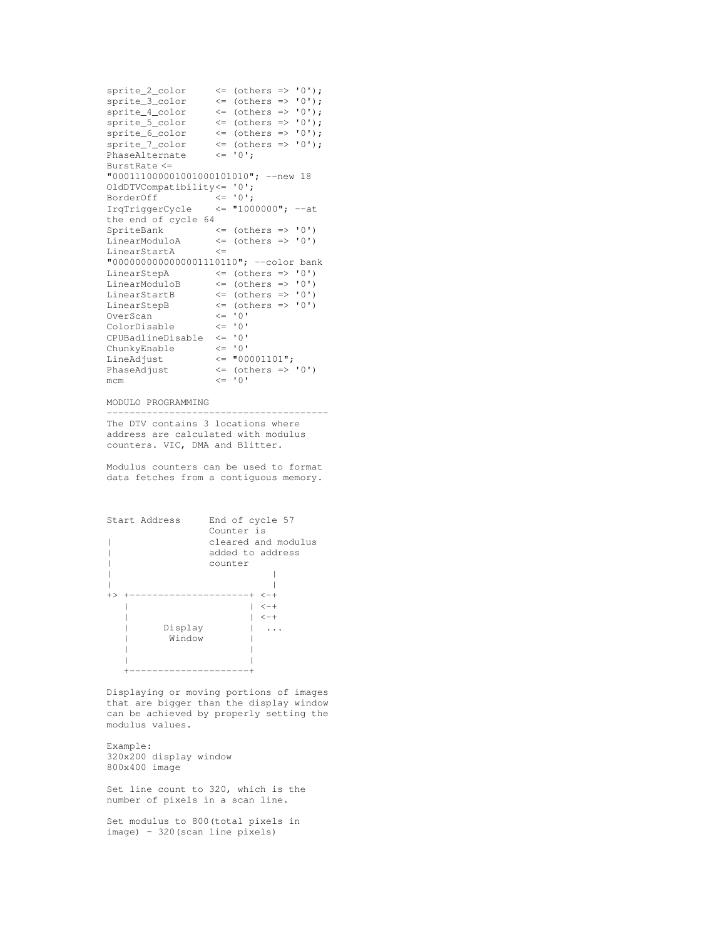```
sprite_2_color <= (others => '0');
 sprite_3\_{color} \leq \text{ (others} \Rightarrow '0');\text{sprite\_4\_color} \leq \text{(others =& '0');}sprite_5_color <= (others => '0');
\text{sprite\_6\_color} \leftarrow \left( \text{others} \Rightarrow '0' \right);sprite_7_color \langle = \text{(others => '0'); \rangle}<br>PhaseAlternate \langle = \text{'0'}; \ranglePhaseAlternate
BurstRate <=
"000111000001001000101010"; --new 18
OldDTVCompatibility<= '0';
BorderOff<br>IrqTriggerCycle
                            \begin{array}{rcl} \n & \leftarrow & 0 \; , \\
 & \leftarrow & 10000000 \; , \\
 & \leftarrow & 10000000 \; , \quad --at\n \end{array}the end of cycle 64
SpriteBank <= (others => '0')<br>LinearModuloA <= (others => '0')
                             \leq (others \Rightarrow '0')
LinearStartA <=
"0000000000000001110110"; --color bank
LinearStepA \leq (others => '0')
\begin{tabular}{lllll} LinearModuloB & $\quad\langle=\text{ (others =&\quad '0')$} \\ LinearStartB & $\quad\langle=\text{ (others =&\quad '0')$} \end{tabular}\leq (others \Rightarrow '0')
LinearStepB \langle = \text{(others => '0')}<br>OverScan \langle = \text{'0'}OverScan <= '0'<br>ColorDisable <= '0'
ColorDisable
CPUBadlineDisable \leq '0'<br>ChunkyEnable \leq '0'
ChunkyEnable
LineAdjust \leftarrow "00001101";<br>PhaseAdjust \leftarrow (others =>
                               \leq (others \Rightarrow '0')
v = 100 \leq v = 10
```
MODULO PROGRAMMING

--------------------------------------- The DTV contains 3 locations where address are calculated with modulus counters. VIC, DMA and Blitter.

Modulus counters can be used to format data fetches from a contiguous memory.



Displaying or moving portions of images that are bigger than the display window can be achieved by properly setting the modulus values.

Example: 320x200 display window 800x400 image

Set line count to 320, which is the number of pixels in a scan line.

Set modulus to 800(total pixels in image) - 320(scan line pixels)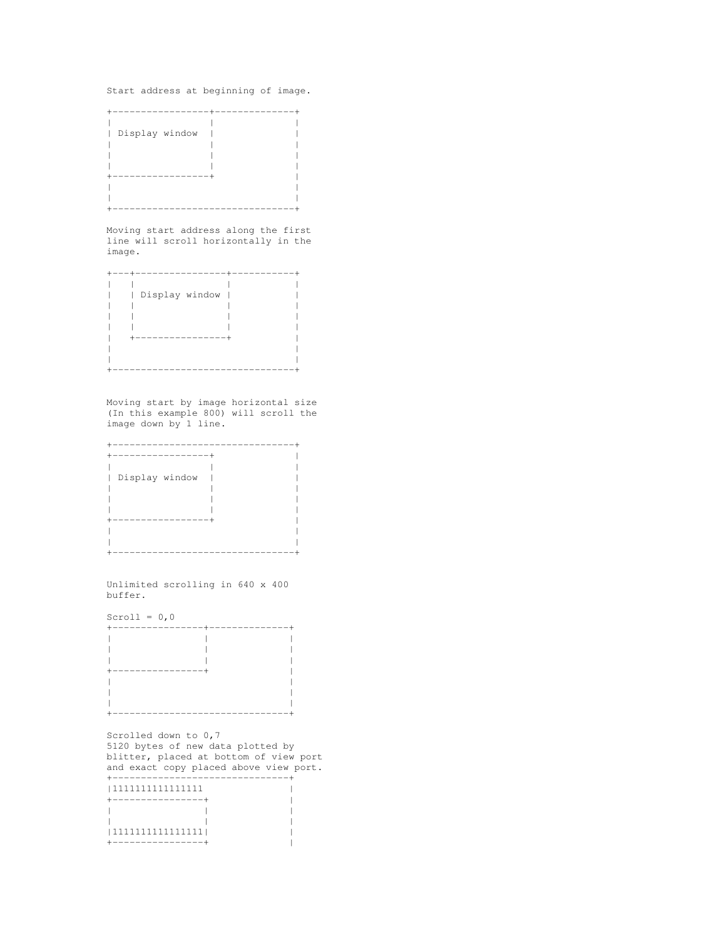Start address at beginning of image.



Moving start address along the first line will scroll horizontally in the image.



Moving start by image horizontal size (In this example 800) will scroll the image down by 1 line.



Unlimited scrolling in 640 x 400 buffer.

Scroll =  $0,0$ 

| ----------------- |                                |
|-------------------|--------------------------------|
|                   |                                |
|                   |                                |
|                   |                                |
|                   | ------------------------------ |

Scrolled down to 0,7 5120 bytes of new data plotted by blitter, placed at bottom of view port and exact copy placed above view port. +-------------------------------+

| 1111111111111111                  |  |
|-----------------------------------|--|
| ----------------                  |  |
|                                   |  |
|                                   |  |
| 1111111111111111                  |  |
| . _ _ _ _ _ _ _ _ _ _ _ _ _ _ _ _ |  |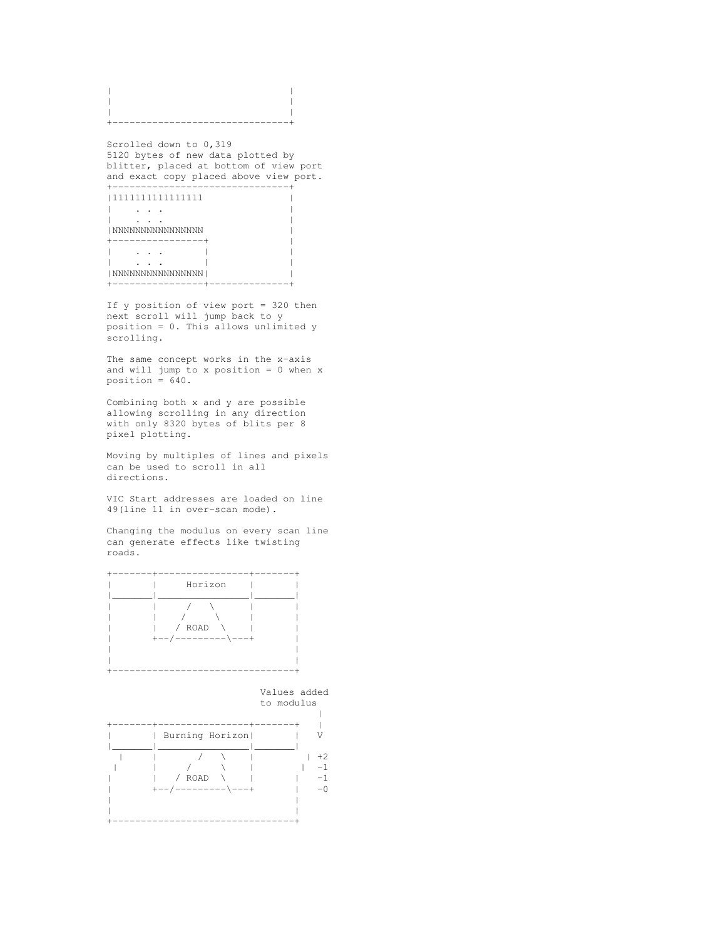| ---------<br>---- | ----- |
|-------------------|-------|

Scrolled down to 0,319 5120 bytes of new data plotted by blitter, placed at bottom of view port and exact copy placed above view port. +-------------------------------+

|1111111111111111 | | . . . | | . . . | |NNNNNNNNNNNNNNNN | +----------------+ | | . . . | | | . . . | | |NNNNNNNNNNNNNNNN| | +----------------+--------------+

If y position of view port = 320 then next scroll will jump back to y position = 0. This allows unlimited y scrolling.

The same concept works in the x-axis and will jump to x position =  $0$  when x position = 640.

Combining both x and y are possible allowing scrolling in any direction with only 8320 bytes of blits per 8 pixel plotting.

Moving by multiples of lines and pixels can be used to scroll in all directions.

VIC Start addresses are loaded on line 49(line 11 in over-scan mode).

Changing the modulus on every scan line can generate effects like twisting roads.



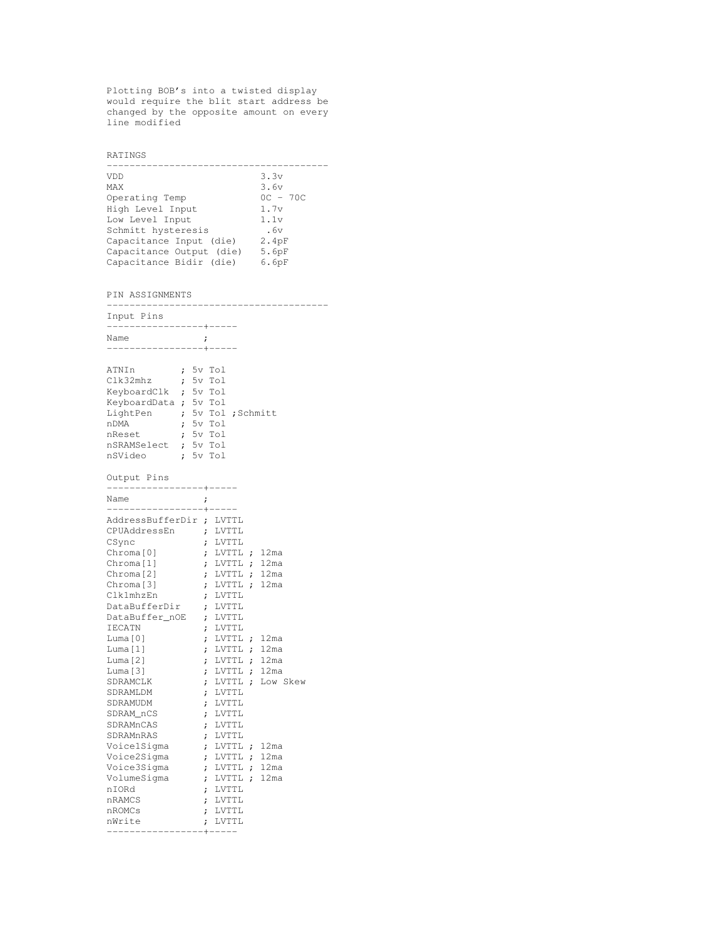Plotting BOB's into a twisted display would require the blit start address be changed by the opposite amount on every line modified

RATINGS --------------------------------------- VDD  $3.3v$ MAX  $3.6v$ Operating Temp 0C - 70C High Level Input 1.7v Low Level Input 1.1v Schmitt hysteresis .6v Capacitance Input (die) 2.4pF Capacitance Output (die) 5.6pF Capacitance Bidir (die) 6.6pF PIN ASSIGNMENTS --------------------------------------- Input Pins -----------------+----- Name ; -----------------+----- ATNIn ; 5v Tol Clk32mhz ; 5v Tol KeyboardClk ; 5v Tol KeyboardData ; 5v Tol LightPen ; 5v Tol ; Schmitt nDMA ; 5v Tol nReset ; 5v Tol nSRAMSelect ; 5v Tol nSVideo ; 5v Tol Output Pins -----------------+----- Name ; -----------------+----- AddressBufferDir ; LVTTL CPUAddressEn ; LVTTL CSync ; LVTTL Chroma[0] ; LVTTL ; 12ma Chroma[1] ; LVTTL ; 12ma Chroma[2] **;** LVTTL **;** 12ma Chroma[3] **;** LVTTL **;** 12ma Clk1mhzEn ; LVTTL DataBufferDir ; LVTTL DataBuffer\_nOE ; LVTTL IECATN ; LVTTL Luma[0] ; LVTTL ; 12ma Luma[1] **;** LVTTL **;** 12ma Luma[2] ; LVTTL ; 12ma Luma[3] **;** LVTTL **;** 12ma SDRAMCLK ; LVTTL ; Low Skew SDRAMLDM ; LVTTL SDRAMUDM ; LVTTL<br>SDRAM\_nCS ; LVTTL SDRAM\_nCS ; LVTTL SDRAMnCAS ; LVTTL SDRAMnRAS ; LVTTL<br>VoicelSigma ; LVTTL Voice1Sigma ; LVTTL ; 12ma Voice2Sigma ; LVTTL ; 12ma Voice3Sigma ; LVTTL ; 12ma VolumeSigma ; LVTTL ; 12ma nIORd ; LVTTL nRAMCS ; LVTTL nROMCs ; LVTTL nWrite ; LVTTL

-----------------+-----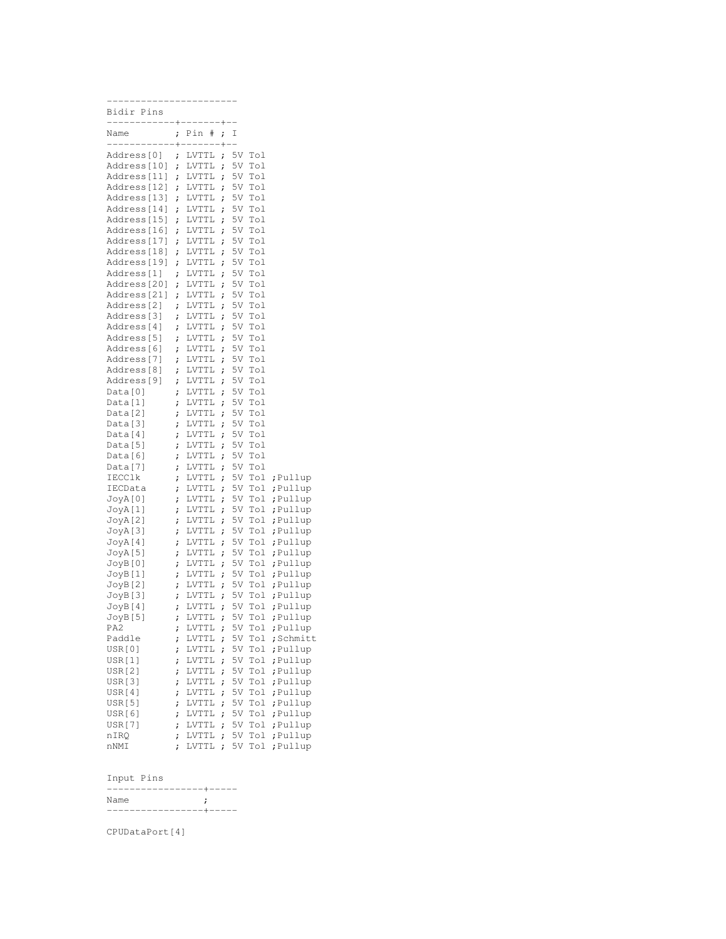| ----------------------     |              |                                |           |           |            |                     |
|----------------------------|--------------|--------------------------------|-----------|-----------|------------|---------------------|
| Bidir Pins                 |              |                                |           |           |            |                     |
| ------------+------+--     |              |                                |           |           |            |                     |
| Name                       | $\ddot{ }$   | Pin<br>#                       | ï         | Ι         |            |                     |
| ------------+--            |              | $--- + --- +$                  |           |           |            |                     |
| Address[0]                 | ;            | LVTTL                          | ;         | 5V        | Tol        |                     |
| Address[10]<br>Address[11] | $\mathbf{r}$ | $_{\rm LVTTL}$                 | ;         | 5V        | Tol        |                     |
| Address[12]                | ï            | <b>LVTTL</b><br>$_{\rm LVTTL}$ | ï         | 5V<br>5V  | Tol<br>Tol |                     |
| Address[13]                | $\ddot{ }$   | <b>LVTTL</b>                   | ï<br>ï    | 5V        | Tol        |                     |
| Address[14]                | ï<br>;       | <b>LVTTL</b>                   | $\dot{r}$ | 5V        | Tol        |                     |
| Address[15]                | ï            | LVTTL                          | ï         | 5V        | Tol        |                     |
| Address[16]                | ;            | <b>LVTTL</b>                   | $\dot{r}$ | 5V        | Tol        |                     |
| Address[17]                | ï            | LVTTL                          | ï         | 5V        | Tol        |                     |
| Address[18]                | $\dot{,}$    | LVTTL                          | $\dot{r}$ | 5V        | Tol        |                     |
| Address[19]                | ;            | <b>LVTTL</b>                   | ï         | 5V        | Tol        |                     |
| Address[1]                 | ;            | LVTTL                          | $\dot{r}$ | 5V        | Tol        |                     |
| Address[20]                | ï            | LVTTL                          | ï         | 5V        | Tol        |                     |
| Address[21]                | ;            | <b>LVTTL</b>                   | $\dot{r}$ | 5V        | Tol        |                     |
| Address[2]                 | ;            | <b>LVTTL</b>                   | ï         | 5V        | Tol        |                     |
| Address[3]                 | $\ddot{ }$   | LVTTL                          | $\dot{r}$ | 5V        | Tol        |                     |
| Address[4]                 | ;            | LVTTL                          | $\dot{r}$ | 5V        | Tol        |                     |
| Address[5]                 | ;            | LVTTL                          | $\dot{r}$ | 5V        | Tol        |                     |
| Address[6]                 | ;            | LVTTL                          | ;         | 5V        | Tol        |                     |
| Address[7]                 | ;            | LVTTL                          | $\dot{r}$ | 5V        | Tol        |                     |
| Address[8]                 | ;            | ${\tt LVTTL}$                  | ;         | 5V        | Tol        |                     |
| Address[9]                 | ;            | LVTTL                          | ;         | 5V        | Tol        |                     |
| Data[0]                    | ;            | LVTTL                          | ï         | 5V        | Tol        |                     |
| Data[1]                    | ;            | LVTTL                          | ;         | 5V        | Tol        |                     |
| Data[2]                    | ï            | <b>LVTTL</b>                   | ;         | 5V        | Tol        |                     |
| Data[3]                    | ;            | LVTTL                          | ;         | 5V        | Tol        |                     |
| Data[4]                    | ;            | LVTTL                          | ï         | 5V        | Tol        |                     |
| Data[5]                    | ;            | LVTTL                          | ï         | 5V        | Tol        |                     |
| Data[6]                    | ;            | LVTTL                          | $\dot{r}$ | 5V        | Tol        |                     |
| Data[7]                    | ;            | LVTTL                          | ï         | 5V        | Tol        |                     |
| IECClk                     | ;            | LVTTL                          | ï         | 5V        | Tol        | ;Pullup             |
| IECData                    | ;            | LVTTL                          | ï         | 5V        | Tol        | ;Pullup             |
| JoyA[0]                    | ;            | LVTTL                          | $\dot{r}$ | 5V        | Tol        | ;Pullup             |
| JoyA[1]                    | ;            | LVTTL                          | ï         | 5V        | Tol        | ;Pullup             |
| JoyA[2]                    | ;            | LVTTL                          | $\dot{r}$ | 5V        | Tol        | ;Pullup             |
| JoyA[3]                    | ;            | LVTTL                          | ï         | 5V        | Tol        | ;Pullup             |
| JoyA[4]                    | ;            | LVTTL                          | ï         | 5V        | Tol        | ;Pullup             |
| JoyA[5]                    | ;            | LVTTL                          | ï         | 5V        | Tol        | ;Pullup             |
| JoyB[0]                    | ;            | LVTTL                          | $\dot{r}$ | 5V        | Tol        | ;Pullup             |
| JoyB[1]                    | ï            | LVTTL                          | ï         | 5V        | Tol        | ;Pullup             |
| JoyB[2]                    | ;            | LVTTL                          | ï         | 5V<br>5V  | Tol        | ;Pullup             |
| JoyB[3]                    | ï            | LVTTL                          | ï         | 5V        | Tol<br>Tol | ;Pullup             |
| JoyB[4]                    | ;            | <b>LVTTL</b>                   | ;         |           |            | ;Pullup             |
| JoyB[5]<br>PA2.            | ;            | LVTTL<br>LVTTL ;               | ï         | 5V<br>5V. | Tol<br>Tol | ;Pullup             |
| Paddle                     | ï            | LVTTL                          |           | 5V        |            | ;Pullup<br>;Schmitt |
| USR[0]                     | ï            | LVTTL                          | ï         | 5V        | Tol<br>Tol | ;Pullup             |
| <b>USR[1]</b>              | ï            | LVTTL                          | ;         | 5V        | Tol        | ;Pullup             |
| <b>USR[2]</b>              | ï<br>;       | LVTTL                          | ï<br>;    | 5V        | Tol        | ; Pullup            |
| USR[3]                     | ;            | LVTTL                          | ï         | 5V        | Tol        | ;Pullup             |
| USR[4]                     | ;            | LVTTL                          | $\dot{r}$ | 5V        | Tol        | ;Pullup             |
| USR[5]                     | ;            | LVTTL                          | ï         | 5V        | Tol        | ;Pullup             |
| USR[6]                     | ;            | LVTTL                          | $\dot{r}$ | 5V        | Tol        | ; Pullup            |
| <b>USR[7]</b>              | ;            | LVTTL                          | ï         | 5V        | Tol        | ;Pullup             |
| nIRQ                       | ;            | LVTTL                          | ï         | 5V        | Tol        | ; Pullup            |
| nNMI                       | ;            | LVTTL                          | ;         | 5V        | Tol        | ; Pullup            |

# Input Pins

|      | --------------------- |
|------|-----------------------|
| Name |                       |
|      |                       |

CPUDataPort[4]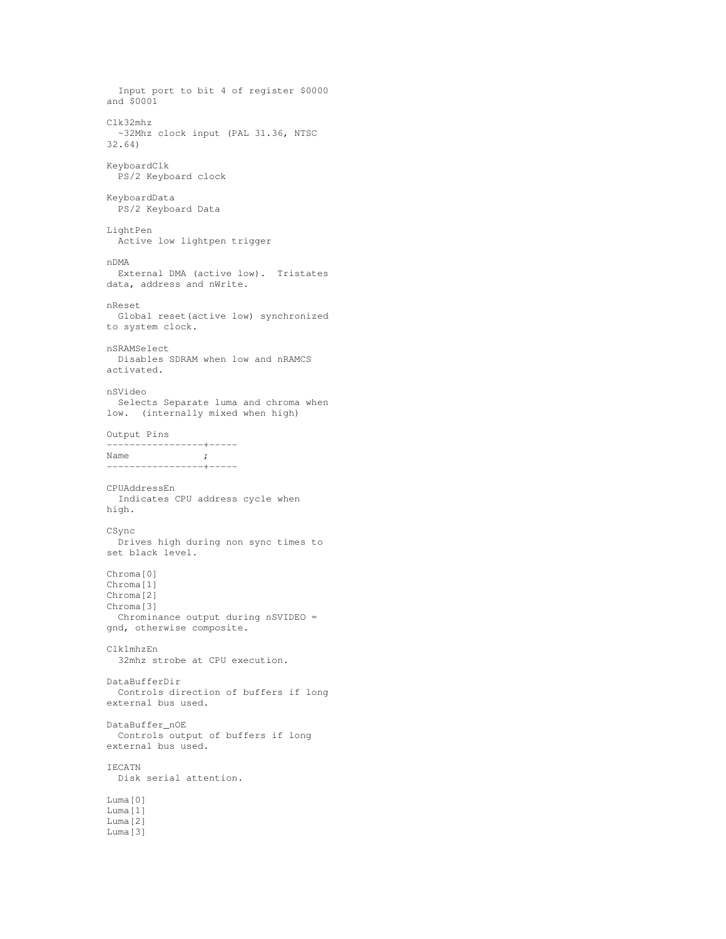Input port to bit 4 of register \$0000 and \$0001 Clk32mhz ~32Mhz clock input (PAL 31.36, NTSC 32.64) KeyboardClk PS/2 Keyboard clock KeyboardData PS/2 Keyboard Data LightPen Active low lightpen trigger nDMA External DMA (active low). Tristates data, address and nWrite. nReset Global reset(active low) synchronized to system clock. nSRAMSelect Disables SDRAM when low and nRAMCS activated. nSVideo Selects Separate luma and chroma when low. (internally mixed when high) Output Pins -----------------+----- Name ; -----------------+----- CPUAddressEn Indicates CPU address cycle when high. CSync Drives high during non sync times to set black level. Chroma[0] Chroma[1] Chroma[2] Chroma[3] Chrominance output during nSVIDEO = gnd, otherwise composite. Clk1mhzEn 32mhz strobe at CPU execution. DataBufferDir Controls direction of buffers if long external bus used. DataBuffer\_nOE Controls output of buffers if long external bus used. IECATN Disk serial attention. Luma[0] Luma[1] Luma[2] Luma[3]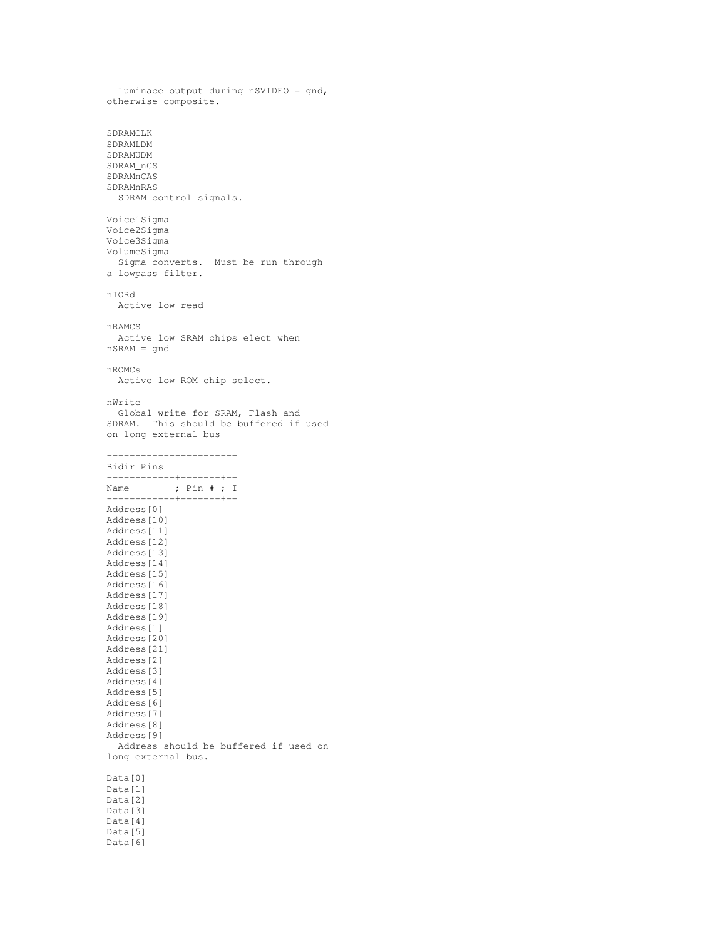```
Luminace output during nSVIDEO = gnd,
otherwise composite.
SDRAMCLK
SDRAMLDM
SDRAMUDM
SDRAM_nCS
SDRAMnCAS
SDRAMnRAS
 SDRAM control signals.
Voice1Sigma
Voice2Sigma
Voice3Sigma
VolumeSigma
 Sigma converts. Must be run through
a lowpass filter.
nIORd
 Active low read
nRAMCS
 Active low SRAM chips elect when
nSRAM = gnd
nROMCs
 Active low ROM chip select.
nWrite
 Global write for SRAM, Flash and
SDRAM. This should be buffered if used
on long external bus
-----------------------
Bidir Pins
------------+-------+--
Name ; Pin # ; I
------------+-------+--
Address[0]
Address[10]
Address[11]
Address[12]
Address[13]
Address[14]
Address[15]
Address[16]
Address[17]
Address[18]
Address[19]
Address[1]
Address[20]
Address[21]
Address[2]
Address[3]
Address[4]
Address[5]
Address[6]
Address[7]
Address[8]
Address[9]
  Address should be buffered if used on
long external bus.
Data[0]
Data[1]
Data[2]
Data[3]
Data[4]
Data[5]
```
Data[6]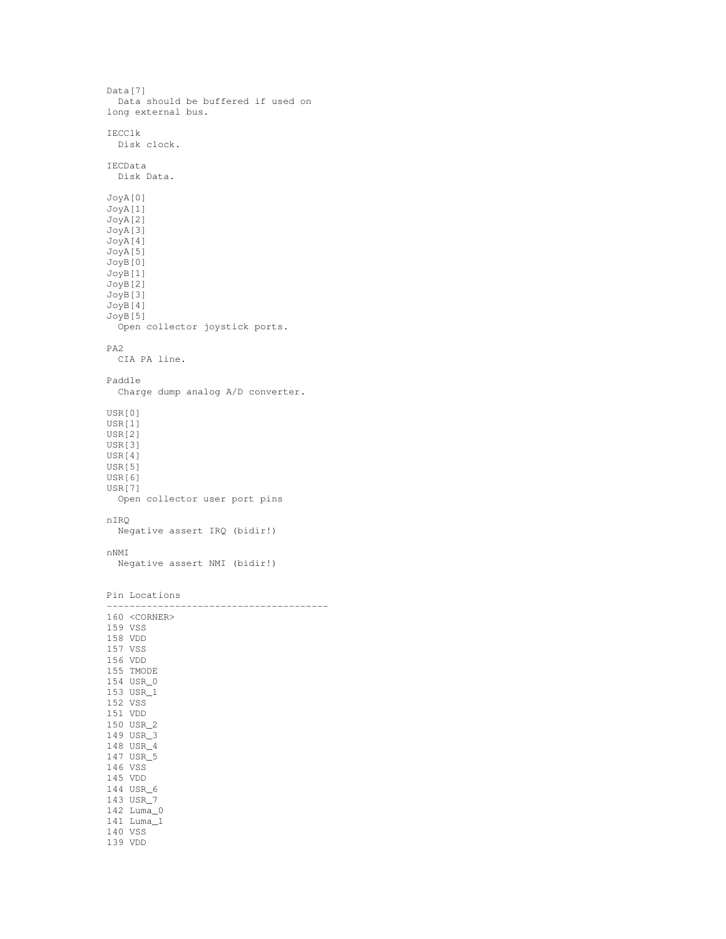```
Data[7]
 Data should be buffered if used on
long external bus.
IECClk
Disk clock.
IECData
 Disk Data.
JoyA[0]
JoyA[1]
JoyA[2]
JoyA[3]
JoyA[4]
JoyA[5]
JoyB[0]
JoyB[1]
JoyB[2]
JoyB[3]
JoyB[4]
JoyB[5]
 Open collector joystick ports.
PA2
 CIA PA line.
Paddle
  Charge dump analog A/D converter.
USR[0]
USR[1]
USR[2]
USR[3]
USR[4]
USR[5]
USR[6]
USR[7]
 Open collector user port pins
nIRQ
 Negative assert IRQ (bidir!)
nNMI
 Negative assert NMI (bidir!)
Pin Locations
---------------------------------------
160 <CORNER>
159 VSS
158 VDD
157 VSS
156 VDD
155 TMODE
154 USR_0
153 USR_1
152 VSS
151 VDD
150 USR_2
149 USR_3
148 USR_4
147 USR_5
146 VSS
145 VDD
144 USR_6
143 USR_7
142 Luma_0
141 Luma_1
140 VSS
139 VDD
```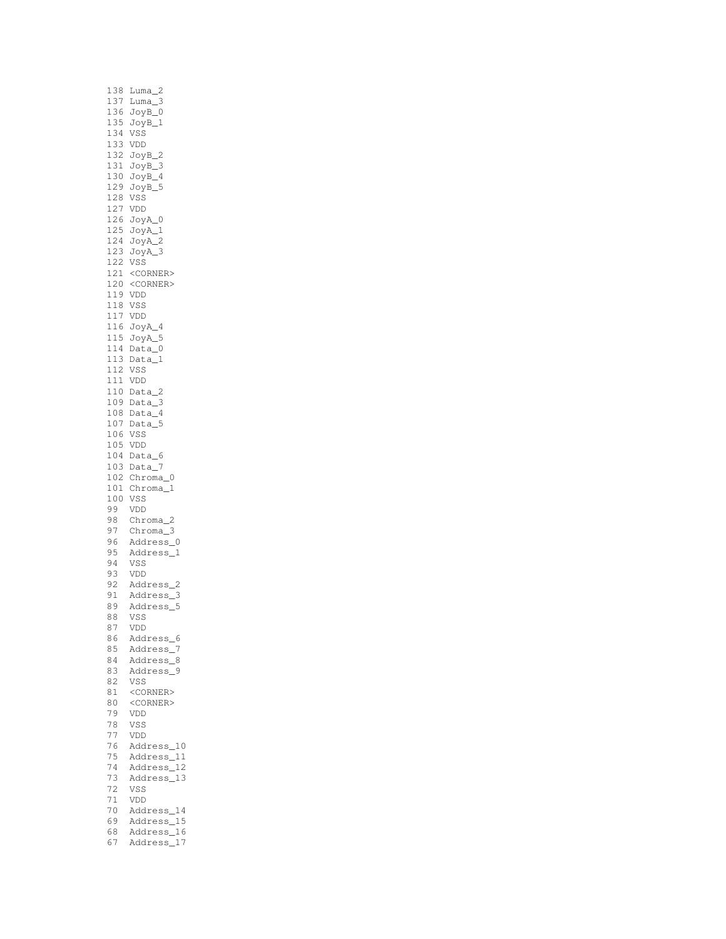|            | 138 Luma_2                                                      |
|------------|-----------------------------------------------------------------|
|            | 137 Luma_3<br>136 JoyB_0                                        |
|            |                                                                 |
|            | $JoyB_1$                                                        |
| 135<br>134 | VSS                                                             |
|            |                                                                 |
|            | 133 VDD<br>132 JoyB_2<br>131 JoyB_3<br>130 JoyB_4<br>130 JoyB_4 |
|            |                                                                 |
|            |                                                                 |
|            |                                                                 |
|            | JoyB_5                                                          |
| 129<br>128 | VSS                                                             |
|            | lz.<br>127 VDD<br><sup>1</sup> 26 JoyA_0<br><sup>--</sup> vA_1  |
|            |                                                                 |
|            |                                                                 |
|            | 125 JoyA_1<br>124 JoyA_2                                        |
|            |                                                                 |
|            | 123 Joy<br>122 VSS<br>JoyA_3                                    |
|            |                                                                 |
|            | 121 <corner><br/>120 <corner></corner></corner>                 |
|            |                                                                 |
|            |                                                                 |
|            | 119 VDD<br>118 VSS                                              |
|            |                                                                 |
|            |                                                                 |
|            | 117 VDD<br>116 JoyA_4                                           |
|            |                                                                 |
|            | -<br>115 JoyA_5<br>114 Data_0                                   |
|            | $113$ Data_1                                                    |
| 112        | VSS                                                             |
|            | 111 VDD                                                         |
|            |                                                                 |
| 110        | $Data_2$                                                        |
|            | $109$ Data_3                                                    |
|            |                                                                 |
|            | 108 Data_4<br>107 Data_5                                        |
| 106        | VSS                                                             |
| 105        | VDD                                                             |
| 104        | Data_6                                                          |
|            | 103 Data_7                                                      |
| 102        | Chroma_0                                                        |
|            | 101 Chroma_1                                                    |
| 100        | VSS                                                             |
|            | VDD                                                             |
| 99         |                                                                 |
| 98<br>97   | Chroma_2                                                        |
|            | Chroma_3                                                        |
| 96<br>95   | Address_0                                                       |
|            | Address_1                                                       |
| 94<br>93   | VSS                                                             |
|            | VDD                                                             |
| 92         | Address_2                                                       |
| 91         | Address_3                                                       |
| 89         |                                                                 |
|            | Address_5                                                       |
| 88         | VSS                                                             |
| 87         | VDD                                                             |
| 86         | Address_6                                                       |
| 85         | Address_<br>7                                                   |
| 84         | Address_8                                                       |
| 83         | Address_9                                                       |
| 82         | VSS                                                             |
| 81         | <corner></corner>                                               |
| 80         | <corner></corner>                                               |
|            |                                                                 |
| 79         | VDD                                                             |
| 78         | VSS                                                             |
| 77         | VDD                                                             |
| 76         | Address_10                                                      |
| 75         | Address_11                                                      |
| 74         | Address_12                                                      |
| 73         | Address_13                                                      |
| 72         | VSS                                                             |
| 71         |                                                                 |
|            | VDD                                                             |
| 70         | Address_14                                                      |
| 69         | Address_15                                                      |
| 68         | Address_16                                                      |
| 67         | Address_17                                                      |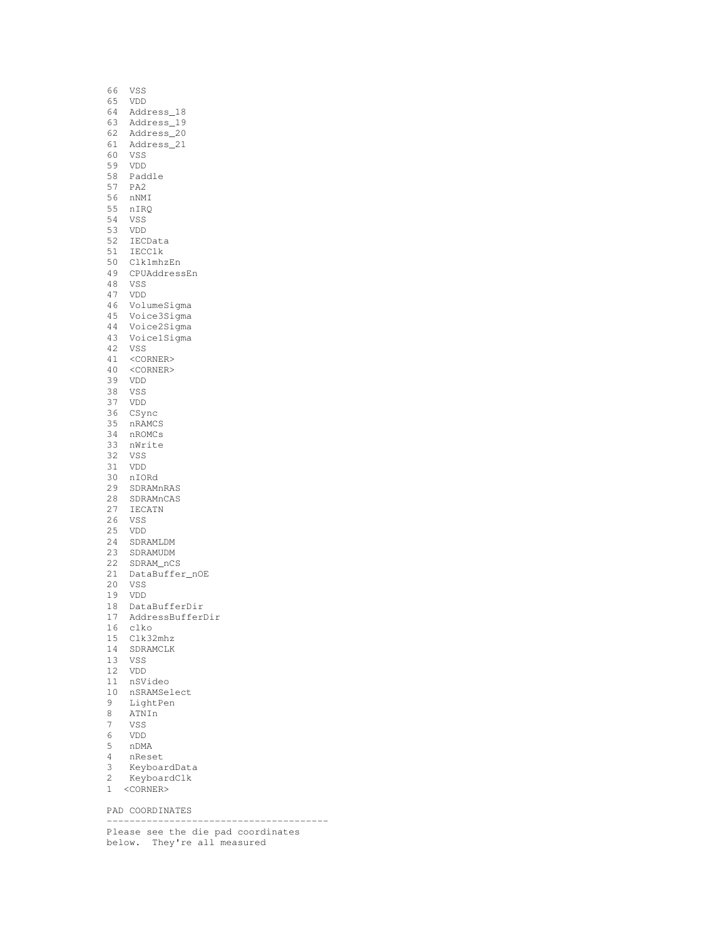| 66  | VSS               |
|-----|-------------------|
| 65  | <b>VDD</b>        |
| 64  | Address_18        |
|     |                   |
| 63  | Address_19        |
| 62  | Address_20        |
| 61  | Address_21        |
|     |                   |
| 60  | VSS               |
| 59  | VDD               |
|     | 58 Paddle         |
| 57  | PA <sub>2</sub>   |
|     |                   |
| 56  | nNMI              |
| 55  | nIRQ              |
| 54  | VSS               |
|     |                   |
| 53  | VDD               |
| 52  | IECData           |
| 51  | IECClk            |
| 50  | Clk1mhzEn         |
|     |                   |
| 49  | CPUAddressEn      |
| 48  | VSS               |
| 47  | VDD               |
| 46  | VolumeSigma       |
|     |                   |
| 45  | Voice3Sigma       |
| 44  | Voice2Sigma       |
| 43  | VoicelSigma       |
| 42  | VSS               |
|     |                   |
| 41  | <corner></corner> |
| 40  | <corner></corner> |
| 39  | VDD               |
| 38  | VSS               |
|     |                   |
| 37  | VDD               |
| 36  | CSync             |
| 35  | nRAMCS            |
| 34  | nROMCs            |
|     |                   |
| 33  | nWrite            |
| 32. | VSS               |
| 31  | VDD               |
| 30  | nIORd             |
|     |                   |
| 29  | SDRAMnRAS         |
| 28  | SDRAMnCAS         |
| 27  | <b>IECATN</b>     |
| 26  | VSS               |
|     |                   |
| 25  | VDD               |
| 24  | SDRAMLDM          |
| 23  | SDRAMUDM          |
| 22  | SDRAM nCS         |
|     |                   |
| 21  | DataBuffer_nOE    |
| 20  | VSS               |
| 19  | VDD               |
| 18  | DataBufferDir     |
|     |                   |
| 17  | AddressBufferDir  |
| 16  | clko              |
| 15  | Clk32mhz          |
| 14  | SDRAMCLK          |
|     |                   |
| 13  | VSS               |
| 12  | VDD               |
| 11  | nSVideo           |
| 10  | nSRAMSelect       |
|     |                   |
| 9   | LightPen          |
| 8   | ATNIn             |
| 7   | VSS               |
| 6   | VDD               |
|     |                   |
| 5   | nDMA              |
| 4   | nReset            |
| 3   | KeyboardData      |
| 2   | KeyboardClk       |
| 1   |                   |
|     | <corner></corner> |

PAD COORDINATES

--------------------------------------- Please see the die pad coordinates

below. They're all measured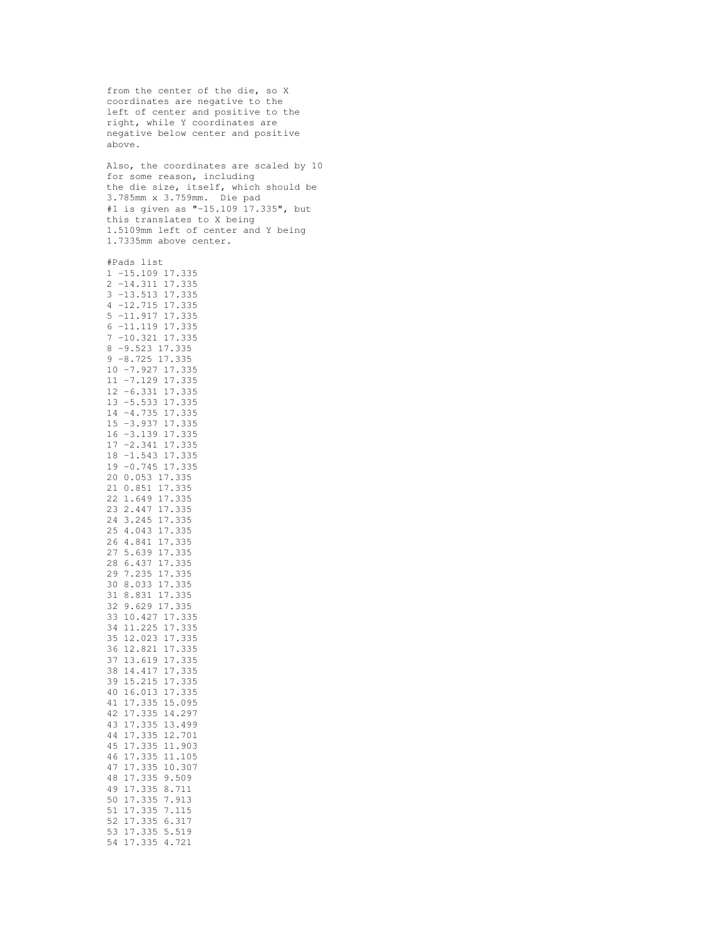from the center of the die, so X coordinates are negative to the left of center and positive to the right, while Y coordinates are negative below center and positive above. Also, the coordinates are scaled by 10 for some reason, including the die size, itself, which should be 3.785mm x 3.759mm. Die pad #1 is given as "-15.109 17.335", but this translates to X being 1.5109mm left of center and Y being 1.7335mm above center. #Pads list -15.109 17.335 -14.311 17.335 -13.513 17.335 -12.715 17.335 -11.917 17.335 -11.119 17.335 -10.321 17.335 -9.523 17.335 -8.725 17.335 -7.927 17.335 -7.129 17.335 -6.331 17.335 -5.533 17.335 -4.735 17.335 -3.937 17.335 -3.139 17.335 -2.341 17.335 -1.543 17.335 -0.745 17.335 0.053 17.335 0.851 17.335 1.649 17.335 2.447 17.335 3.245 17.335 4.043 17.335 4.841 17.335 5.639 17.335 6.437 17.335 7.235 17.335 8.033 17.335 8.831 17.335 9.629 17.335 10.427 17.335 11.225 17.335 12.023 17.335 12.821 17.335 13.619 17.335 14.417 17.335 15.215 17.335 16.013 17.335 17.335 15.095 17.335 14.297 17.335 13.499 17.335 12.701 17.335 11.903 17.335 11.105 17.335 10.307 17.335 9.509 17.335 8.711 17.335 7.913 17.335 7.115 17.335 6.317 17.335 5.519 17.335 4.721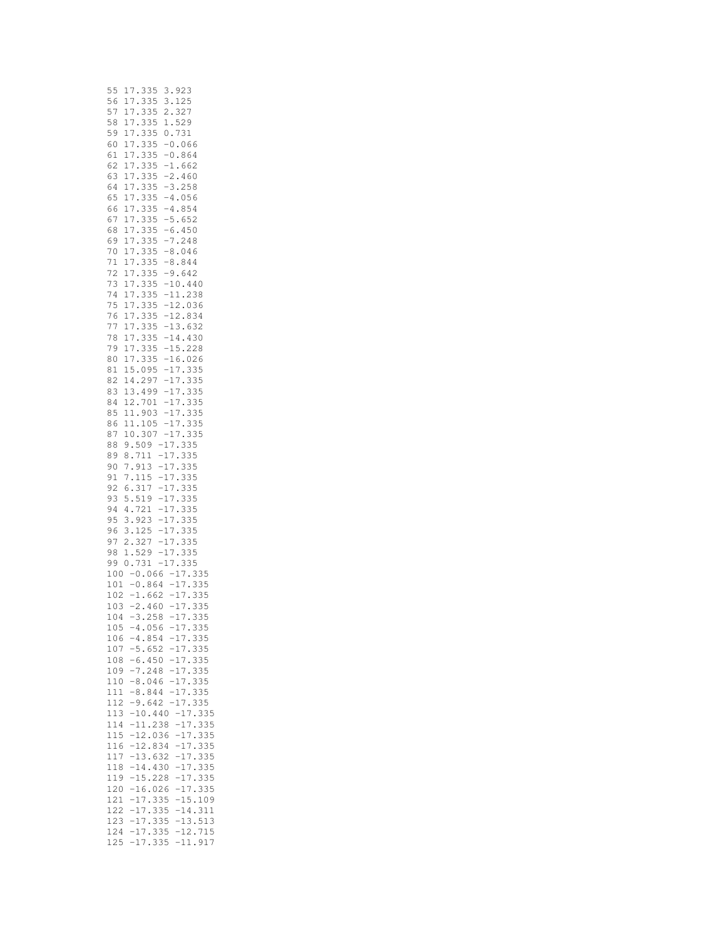| 55  | 335<br>7<br>3<br>923<br>1                                                                         |  |
|-----|---------------------------------------------------------------------------------------------------|--|
| 56  | 335<br>3<br>17<br>125                                                                             |  |
|     |                                                                                                   |  |
| 57  | 335<br>327<br>2<br>7<br>1                                                                         |  |
| 58  | 335<br>529<br>1<br>17                                                                             |  |
| 59  | 335<br>0.<br>731<br>1<br>7                                                                        |  |
|     |                                                                                                   |  |
| 60  | 335<br>$-0$<br>1<br>7<br>$\ddot{\phantom{0}}$<br>066                                              |  |
| 61  | $-0$<br>335<br>864<br>1<br>7<br>$\ddot{\phantom{0}}$                                              |  |
| 62  | $-1$<br>335<br>$\ddot{\phantom{0}}$<br>662<br>17                                                  |  |
| 63  | 335<br>$-2$<br>460<br>1<br>7                                                                      |  |
|     |                                                                                                   |  |
| 64  | $-3.$<br>$-4.$<br>335<br>17<br>258                                                                |  |
| 65  | 335<br>056<br>1<br>7                                                                              |  |
| 66  | $-4$ .<br>$-5$ .<br>335<br>854<br>17                                                              |  |
|     | 335                                                                                               |  |
| 67  | 652<br>17                                                                                         |  |
| 68  | $-6.$<br>335<br>17<br>450                                                                         |  |
| 69  | $\ddot{\phantom{0}}$<br>335<br>$\overline{7}$<br>$-7$<br>$-8$<br>$\ddot{\phantom{0}}$<br>248<br>1 |  |
| 70  | 335<br>17<br>046                                                                                  |  |
|     |                                                                                                   |  |
| 71  | 335<br>$-8.$<br>$-9.$<br>$\overline{7}$<br>844<br>1                                               |  |
| 72  | 335<br>$\overline{7}$<br>642<br>1                                                                 |  |
| 73  | 335<br>$\overline{7}$<br>.440<br>1                                                                |  |
|     | $-10$<br>$-11$                                                                                    |  |
| 74  | 335<br>238<br>17<br>$\ddot{\phantom{0}}$                                                          |  |
| 75  | 335<br>$\overline{7}$<br>036<br>1                                                                 |  |
| 76  | $-12$<br>$-12$<br>335<br>834<br>17<br>$\ddot{\phantom{0}}$                                        |  |
| 77  | 335<br>632<br>1<br>7                                                                              |  |
|     | $-13$<br>$-14$<br>$\cdot$<br>$\ddot{\phantom{0}}$                                                 |  |
| 78  | 335<br>430<br>17<br>$\ddot{\phantom{0}}$                                                          |  |
| 79  | 335<br>$-15$<br>$-16$<br>228<br>7<br>1<br>$\ddot{\phantom{0}}$<br>$\ddot{\phantom{0}}$            |  |
| 80  | 335<br>17<br>026                                                                                  |  |
|     | $\ddot{\phantom{0}}$                                                                              |  |
| 81  | 15<br>.095<br>$-17$<br>$-17$<br>335                                                               |  |
| 82  | 297<br>335<br>14<br>$\ddot{\phantom{0}}$                                                          |  |
| 83  | 499<br>$-17$<br>335<br>13                                                                         |  |
|     |                                                                                                   |  |
| 84  | $-17$<br>.701<br>335<br>$^{12}$                                                                   |  |
| 85  | 903<br>$-17$<br>335<br>11.                                                                        |  |
| 86  | $-17$<br>11.<br>105<br>335<br>$\ddot{\cdot}$                                                      |  |
|     |                                                                                                   |  |
| 87  | $-1$<br>335<br>10<br>307<br>7<br>$\ddot{\phantom{0}}$                                             |  |
| 88  | 3<br>$-1$<br>$\ddot{\phantom{0}}$<br>509<br>35<br>9<br>7<br>$\ddot{\phantom{0}}$                  |  |
| 89  | 711<br>335<br>$-17$<br>8<br>$\ddot{\phantom{0}}$                                                  |  |
| 90  | $-17$<br>913<br>335                                                                               |  |
|     | 7                                                                                                 |  |
| 91  | 115<br>$-17$<br>335<br>7                                                                          |  |
| 92  | $-17$<br>$\ddot{\phantom{0}}$<br>317<br>6<br>335                                                  |  |
| 93  | 519<br>$-17$<br>335<br>5                                                                          |  |
|     | $-17$<br>$-17$                                                                                    |  |
| 94  | 335<br>721<br>4                                                                                   |  |
| 95  | 923<br>335<br>3.<br>-17                                                                           |  |
| 96  | $-17$<br>125<br>335<br>3<br>$\ddot{\phantom{0}}$                                                  |  |
|     |                                                                                                   |  |
| 97  | 327<br>$\cdot 1$<br>335<br>2<br>7                                                                 |  |
| 98  | $-1$<br>335<br>529<br>1.<br>7                                                                     |  |
| 99  | 731<br>$-17$<br>335<br>0<br>$\ddot{\phantom{0}}$                                                  |  |
|     |                                                                                                   |  |
| 100 | 335<br>$-1$<br>$-0$<br>.066<br>7<br>$\ddot{\phantom{0}}$                                          |  |
| 101 | 7<br>$-0.864$<br>$-1.662$<br>335<br>$\frac{-1}{-1}$                                               |  |
| 102 | .662<br>335<br>7                                                                                  |  |
| 103 | 335<br>460<br>$-17$<br>-2                                                                         |  |
|     |                                                                                                   |  |
| 104 | 3<br>258<br>- 1<br>7<br>33<br>5<br>$\overline{a}$                                                 |  |
| 105 | $-4.056$<br>$-17.335$                                                                             |  |
| 106 | 335<br>$-4.854$<br>$-17$<br>$\ddot{\phantom{0}}$                                                  |  |
|     |                                                                                                   |  |
| 107 | $-5.652$<br>$-17$<br>.335                                                                         |  |
| 108 | 335<br>$-6.450$<br>$-17$<br>$\ddot{\phantom{0}}$                                                  |  |
| 109 | 335<br>$-7.248$<br>-17                                                                            |  |
|     |                                                                                                   |  |
| 110 | $-8.046$<br>$-17$<br>335                                                                          |  |
| 111 | $-8.844$<br>$-17$<br>335                                                                          |  |
| 112 | $-17$<br>$-9.642$<br>335                                                                          |  |
|     |                                                                                                   |  |
| 113 | 335<br>$-17$<br>$\ddot{\phantom{0}}$<br>$-10.440$                                                 |  |
| 114 | 335<br>$-11.238$<br>$-17$<br>$\ddot{\phantom{0}}$                                                 |  |
| 115 | 335<br>$-12.036$<br>$-17$<br>$\ddot{\phantom{0}}$                                                 |  |
| 116 | $-12.834$<br>$-17$<br>335<br>$\ddot{\phantom{0}}$                                                 |  |
|     |                                                                                                   |  |
| 117 | $-13.632$<br>335<br>$-17$                                                                         |  |
| 118 | 335<br>$-14.430$<br>$-17$                                                                         |  |
| 119 | 335<br>$-15.228$<br>$-17$                                                                         |  |
|     |                                                                                                   |  |
| 120 | 335<br>$-16.026$<br>$-17$                                                                         |  |
| 121 | 109<br>$-17.$<br>335<br>$-15$ .                                                                   |  |
| 122 | $-17$<br>335<br>$-14$ .<br>311                                                                    |  |
|     | $-17.$<br>$-13.$                                                                                  |  |
| 123 | 335<br>513                                                                                        |  |
| 124 | 335<br>$-12.$<br>715<br>$-17$<br>$\ddot{\phantom{0}}$                                             |  |
| 125 | $-17.335$<br>$-11.917$                                                                            |  |
|     |                                                                                                   |  |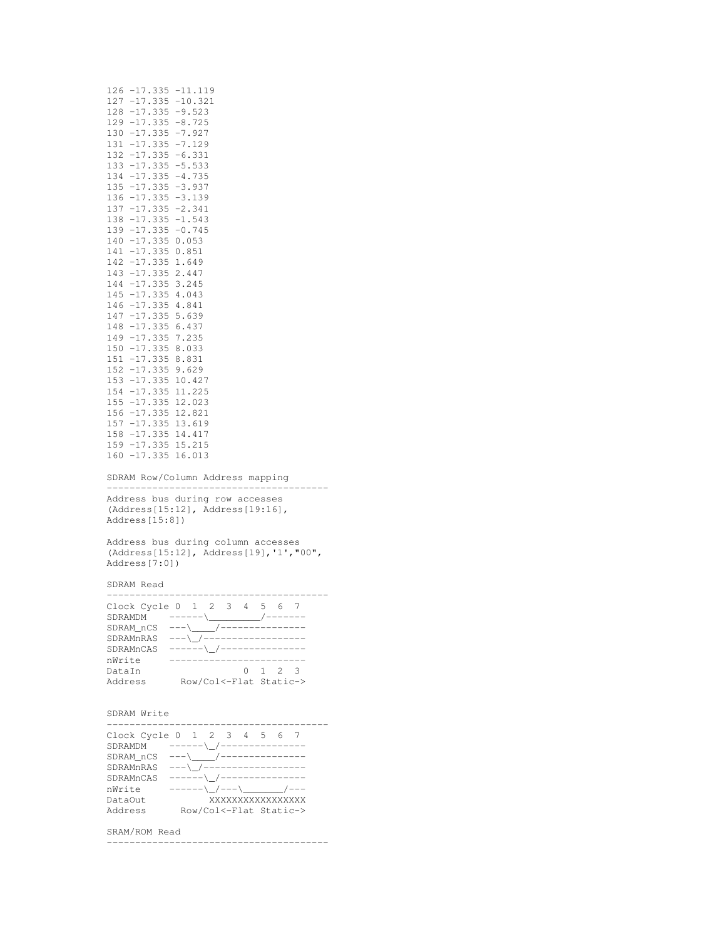| 127 -17.335 -10.321<br>128 -17.335 -9.523<br>$129 - 17.335 - 8.725$<br>$130 - 17.335 - 7.927$<br>131<br>$-17.335 - 7.129$                                                                                                                                                                                                                                                                              |
|--------------------------------------------------------------------------------------------------------------------------------------------------------------------------------------------------------------------------------------------------------------------------------------------------------------------------------------------------------------------------------------------------------|
|                                                                                                                                                                                                                                                                                                                                                                                                        |
|                                                                                                                                                                                                                                                                                                                                                                                                        |
|                                                                                                                                                                                                                                                                                                                                                                                                        |
|                                                                                                                                                                                                                                                                                                                                                                                                        |
|                                                                                                                                                                                                                                                                                                                                                                                                        |
| 132 -17.335 -6.331                                                                                                                                                                                                                                                                                                                                                                                     |
| 133<br>$-17.335 - 5.533$                                                                                                                                                                                                                                                                                                                                                                               |
| $134 - 17.335 - 4.735$                                                                                                                                                                                                                                                                                                                                                                                 |
| $135 - 17.335 - 3.937$                                                                                                                                                                                                                                                                                                                                                                                 |
| $136 - 17.335 - 3.139$                                                                                                                                                                                                                                                                                                                                                                                 |
| 137<br>$-17.335 -2.341$                                                                                                                                                                                                                                                                                                                                                                                |
| $138 - 17.335 - 1.543$                                                                                                                                                                                                                                                                                                                                                                                 |
| $139 - 17.335 - 0.745$                                                                                                                                                                                                                                                                                                                                                                                 |
|                                                                                                                                                                                                                                                                                                                                                                                                        |
| 140 -17.335 0.053                                                                                                                                                                                                                                                                                                                                                                                      |
| 141 -17.335 0.851                                                                                                                                                                                                                                                                                                                                                                                      |
| 142 -17.335 1.649                                                                                                                                                                                                                                                                                                                                                                                      |
| 143 -17.335 2.447                                                                                                                                                                                                                                                                                                                                                                                      |
| 144 -17.335 3.245                                                                                                                                                                                                                                                                                                                                                                                      |
| 145 -17.335 4.043                                                                                                                                                                                                                                                                                                                                                                                      |
| 146 -17.335 4.841                                                                                                                                                                                                                                                                                                                                                                                      |
| $-17.3355.639$<br>147                                                                                                                                                                                                                                                                                                                                                                                  |
|                                                                                                                                                                                                                                                                                                                                                                                                        |
| $-17.3356.437$<br>148                                                                                                                                                                                                                                                                                                                                                                                  |
| 7.235<br>149 -17.335                                                                                                                                                                                                                                                                                                                                                                                   |
| 150 -17.335 8.033                                                                                                                                                                                                                                                                                                                                                                                      |
| 151 -17.335 8.831                                                                                                                                                                                                                                                                                                                                                                                      |
| 152 -17.335 9.629                                                                                                                                                                                                                                                                                                                                                                                      |
| 153 -17.335 10.427                                                                                                                                                                                                                                                                                                                                                                                     |
| 154 -17.335 11.225                                                                                                                                                                                                                                                                                                                                                                                     |
| 155 -17.335 12.023                                                                                                                                                                                                                                                                                                                                                                                     |
|                                                                                                                                                                                                                                                                                                                                                                                                        |
| 156 -17.335 12.821                                                                                                                                                                                                                                                                                                                                                                                     |
| 157 -17.335 13.619                                                                                                                                                                                                                                                                                                                                                                                     |
| 158 -17.335 14.417                                                                                                                                                                                                                                                                                                                                                                                     |
| 159 -17.335 15.215                                                                                                                                                                                                                                                                                                                                                                                     |
| 160 -17.335 16.013                                                                                                                                                                                                                                                                                                                                                                                     |
|                                                                                                                                                                                                                                                                                                                                                                                                        |
| SDRAM Row/Column Address mapping<br>----------------------------------                                                                                                                                                                                                                                                                                                                                 |
| Address bus during row accesses                                                                                                                                                                                                                                                                                                                                                                        |
| (Address[15:12], Address[19:16],                                                                                                                                                                                                                                                                                                                                                                       |
| Address[15:8])                                                                                                                                                                                                                                                                                                                                                                                         |
| Address bus during column accesses                                                                                                                                                                                                                                                                                                                                                                     |
| (Address[15:12], Address[19], '1', "00",                                                                                                                                                                                                                                                                                                                                                               |
| Address[7:0])                                                                                                                                                                                                                                                                                                                                                                                          |
| SDRAM Read                                                                                                                                                                                                                                                                                                                                                                                             |
|                                                                                                                                                                                                                                                                                                                                                                                                        |
| -----------------<br>$- - -$                                                                                                                                                                                                                                                                                                                                                                           |
|                                                                                                                                                                                                                                                                                                                                                                                                        |
| Clock Cycle $0$ 1 2 3 4 5 6 7                                                                                                                                                                                                                                                                                                                                                                          |
| SDRAMDM ------\__________/-------                                                                                                                                                                                                                                                                                                                                                                      |
|                                                                                                                                                                                                                                                                                                                                                                                                        |
|                                                                                                                                                                                                                                                                                                                                                                                                        |
| SDRAM_nCS ---\_____/---------------<br>SDRAMnRAS ---\_/-----------------<br>------\_/---------------<br>SDRAMnCAS                                                                                                                                                                                                                                                                                      |
| ------------------------<br>nWrite                                                                                                                                                                                                                                                                                                                                                                     |
| $0 \quad 1 \quad 2$<br>3<br>DataIn                                                                                                                                                                                                                                                                                                                                                                     |
| Row/Col<-Flat Static-><br>Address                                                                                                                                                                                                                                                                                                                                                                      |
|                                                                                                                                                                                                                                                                                                                                                                                                        |
| SDRAM Write                                                                                                                                                                                                                                                                                                                                                                                            |
|                                                                                                                                                                                                                                                                                                                                                                                                        |
| Clock Cycle 0 1 2 3 4 5 6 7                                                                                                                                                                                                                                                                                                                                                                            |
|                                                                                                                                                                                                                                                                                                                                                                                                        |
| SDRAMDM ------\_/---------------<br>SDRAM_nCS ---\___/----------------                                                                                                                                                                                                                                                                                                                                 |
|                                                                                                                                                                                                                                                                                                                                                                                                        |
| ------\_/---------------<br>SDRAMnCAS                                                                                                                                                                                                                                                                                                                                                                  |
| SDRAMnRAS $---\_{/------------------$<br>$\begin{picture}(150,10) \put(0,0){\line(1,0){10}} \put(15,0){\line(1,0){10}} \put(15,0){\line(1,0){10}} \put(15,0){\line(1,0){10}} \put(15,0){\line(1,0){10}} \put(15,0){\line(1,0){10}} \put(15,0){\line(1,0){10}} \put(15,0){\line(1,0){10}} \put(15,0){\line(1,0){10}} \put(15,0){\line(1,0){10}} \put(15,0){\line(1,0){10}} \put(15,0){\line($<br>nWrite |
| XXXXXXXXXXXXXXXX<br>DataOut                                                                                                                                                                                                                                                                                                                                                                            |
| Address                                                                                                                                                                                                                                                                                                                                                                                                |
| Row/Col<-Flat Static->                                                                                                                                                                                                                                                                                                                                                                                 |

126 -17.335 -11.119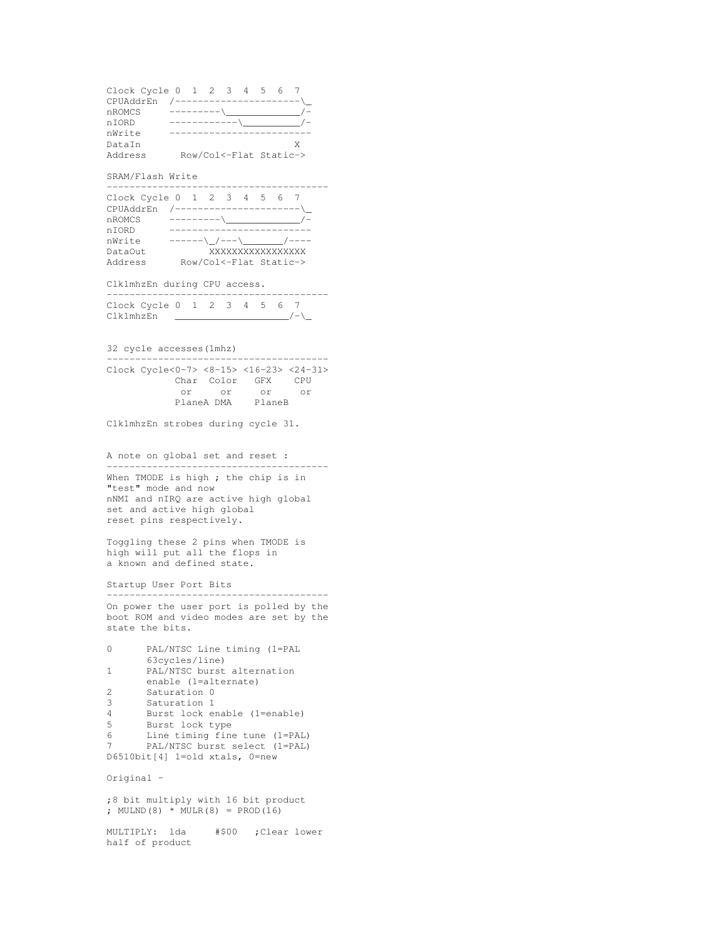Clock Cycle 0 1 2 3 4 5 6 7 CPUAddrEn /----------------------\\_ nROMCS ---------\\_\_\_\_\_\_\_\_\_\_\_\_\_/ nIORD ------------\\_\_\_\_\_\_\_\_\_\_/ nWrite ------------------------- DataIn X Address Row/Col<-Flat Static->

# SRAM/Flash Write

| Clock Cycle $0 \t1 \t2 \t3 \t4 \t5$ |                           |  |                        |  |  |
|-------------------------------------|---------------------------|--|------------------------|--|--|
| CPUAddrEn                           | ________________________  |  |                        |  |  |
| nROMCS                              |                           |  |                        |  |  |
| n TORD                              |                           |  |                        |  |  |
| nWrite                              | ______\ /___\ /____ /____ |  |                        |  |  |
| Dat.a0ut.                           |                           |  | XXXXXXXXXXXXXXXX       |  |  |
| Address                             |                           |  | Row/Col<-Flat Static-> |  |  |

Clk1mhzEn during CPU access.

|           | Clock Cycle 0 1 2 3 4 5 6 7 |  |  |  |  |  |
|-----------|-----------------------------|--|--|--|--|--|
| Clk1mhzEn |                             |  |  |  |  |  |

32 cycle accesses(1mhz)

| Clock Cycle<0-7> <8-15> <16-23> <24-31> |                |        |     |
|-----------------------------------------|----------------|--------|-----|
|                                         | Char Color GFX |        | CPU |
| or -                                    | ∩r             | nr     | Ωr  |
|                                         | PlaneA DMA     | PlaneB |     |

Clk1mhzEn strobes during cycle 31.

A note on global set and reset :

--------------------------------------- When TMODE is high ; the chip is in "test" mode and now nNMI and nIRQ are active high global set and active high global reset pins respectively.

Toggling these 2 pins when TMODE is high will put all the flops in a known and defined state.

Startup User Port Bits

--------------------------------------- On power the user port is polled by the boot ROM and video modes are set by the state the bits.

```
0 PAL/NTSC Line timing (1=PAL
      63cycles/line)
1 PAL/NTSC burst alternation
       enable (1=alternate)
2 Saturation 0<br>3 Saturation 1
3 Saturation 1
4 Burst lock enable (1=enable)<br>5 Burst lock type
5 Burst lock type<br>6 Line timing fine
6 Line timing fine tune (1=PAL)<br>7 PAL/NTSC burst select (1=PAL)
        PAL/NTSC burst select (1=PAL)
D6510bit[4] 1=old xtals, 0=new
```
Original -

;8 bit multiply with 16 bit product ; MULND(8)  $*$  MULR(8) = PROD(16)

MULTIPLY: lda #\$00 ;Clear lower half of product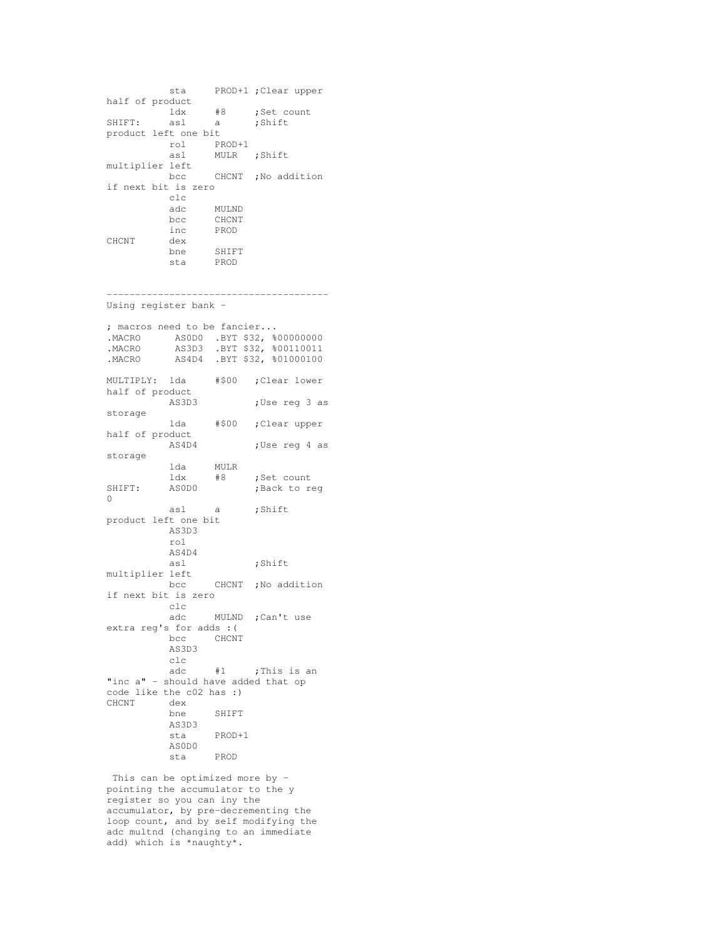```
sta PROD+1 ;Clear upper
half of product<br>ldx<br>SHIFT: asl
          ldx #8 ;Set count
SHIFT: asl a ;Shift
product left one bit
         rol PROD+1
         asl MULR ;Shift
multiplier left
               CHCNT ;No addition
if next bit is zero
        clc
         adc MULND<br>bcc CHCNT
          bcc CHCNT
          inc PROD
CHCNT dex
          bne SHIFT
          sta PROD
```
--------------------------------------- Using register bank -

| ; macros need to be fancier<br>.MACRO |                 |        | ASODO .BYT \$32, %00000000<br>.MACRO AS3D3 .BYT \$32, \$00110011<br>.MACRO AS4D4 .BYT \$32, \$01000100 |
|---------------------------------------|-----------------|--------|--------------------------------------------------------------------------------------------------------|
| MULTIPLY: lda                         |                 | #\$00  | ;Clear lower                                                                                           |
| half of product                       |                 |        |                                                                                                        |
|                                       | AS3D3           |        | ;Use reg 3 as                                                                                          |
| storage                               |                 |        |                                                                                                        |
|                                       |                 |        | lda #\$00 ;Clear upper                                                                                 |
| half of product                       | AS4D4           |        | ;Use reg 4 as                                                                                          |
| storage                               |                 |        |                                                                                                        |
|                                       | lda MULR        |        |                                                                                                        |
|                                       | ldx             | #8     | ;Set count                                                                                             |
| SHIFT: ASODO                          |                 |        | ;Back to reg                                                                                           |
| 0                                     |                 |        |                                                                                                        |
|                                       | asl a           |        | ;Shift                                                                                                 |
| product left one bit                  |                 |        |                                                                                                        |
|                                       | AS3D3           |        |                                                                                                        |
|                                       | rol             |        |                                                                                                        |
|                                       | AS4D4           |        |                                                                                                        |
|                                       | asl             |        | ;Shift                                                                                                 |
| multiplier left                       |                 |        |                                                                                                        |
|                                       |                 |        | bcc CHCNT ; No addition                                                                                |
| if next bit is zero                   |                 |        |                                                                                                        |
|                                       | $_{\text{clc}}$ |        |                                                                                                        |
|                                       |                 |        | adc MULND ; Can't use                                                                                  |
| extra reg's for adds : (              |                 |        |                                                                                                        |
|                                       | bcc CHCNT       |        |                                                                                                        |
|                                       | AS3D3           |        |                                                                                                        |
|                                       | c1c             |        |                                                                                                        |
|                                       |                 |        | adc #1 ; This is an                                                                                    |
| "inc a" - should have added that op   |                 |        |                                                                                                        |
| code like the c02 has :)              |                 |        |                                                                                                        |
| CHCNT                                 | dex             | SHIFT  |                                                                                                        |
|                                       | bne<br>AS3D3    |        |                                                                                                        |
|                                       | sta             | PROD+1 |                                                                                                        |
|                                       | AS0D0           |        |                                                                                                        |
|                                       | sta             | PROD   |                                                                                                        |

This can be optimized more by pointing the accumulator to the y register so you can iny the accumulator, by pre-decrementing the loop count, and by self modifying the adc multnd (changing to an immediate add) which is \*naughty\*.